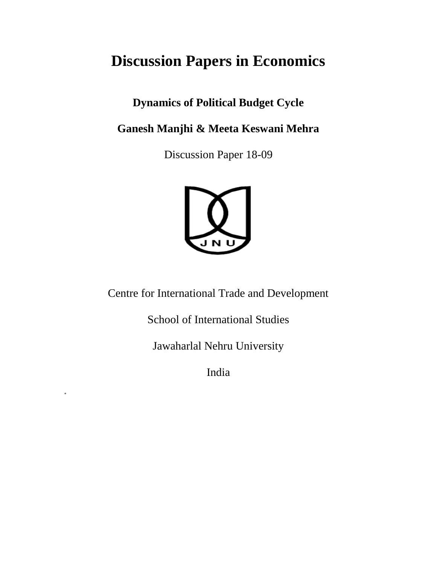# **Discussion Papers in Economics**

# **Dynamics of Political Budget Cycle**

**Ganesh Manjhi & Meeta Keswani Mehra**

Discussion Paper 18-09



Centre for International Trade and Development

School of International Studies

Jawaharlal Nehru University

India

\*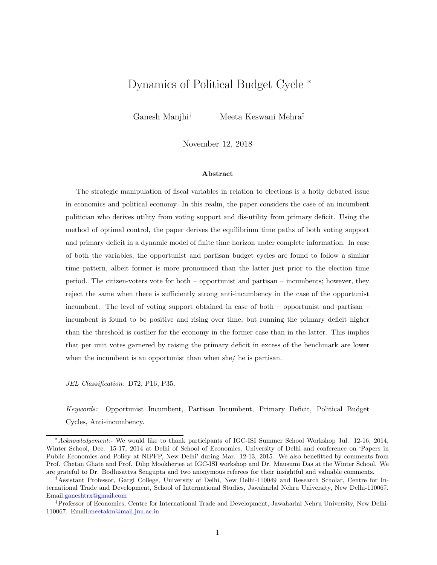# Dynamics of Political Budget Cycle <sup>∗</sup>

Ganesh Manjhi† Meeta Keswani Mehra‡

November 12, 2018

#### Abstract

The strategic manipulation of fiscal variables in relation to elections is a hotly debated issue in economics and political economy. In this realm, the paper considers the case of an incumbent politician who derives utility from voting support and dis-utility from primary deficit. Using the method of optimal control, the paper derives the equilibrium time paths of both voting support and primary deficit in a dynamic model of finite time horizon under complete information. In case of both the variables, the opportunist and partisan budget cycles are found to follow a similar time pattern, albeit former is more pronounced than the latter just prior to the election time period. The citizen-voters vote for both – opportunist and partisan – incumbents; however, they reject the same when there is sufficiently strong anti-incumbency in the case of the opportunist incumbent. The level of voting support obtained in case of both – opportunist and partisan – incumbent is found to be positive and rising over time, but running the primary deficit higher than the threshold is costlier for the economy in the former case than in the latter. This implies that per unit votes garnered by raising the primary deficit in excess of the benchmark are lower when the incumbent is an opportunist than when she/ he is partisan.

JEL Classification: D72, P16, P35.

Keywords: Opportunist Incumbent, Partisan Incumbent, Primary Deficit, Political Budget Cycles, Anti-incumbency.

<sup>∗</sup>Acknowledgement:- We would like to thank participants of IGC-ISI Summer School Workshop Jul. 12-16, 2014, Winter School, Dec. 15-17, 2014 at Delhi of School of Economics, University of Delhi and conference on 'Papers in Public Economics and Policy at NIPFP, New Delhi' during Mar. 12-13, 2015. We also benefitted by comments from Prof. Chetan Ghate and Prof. Dilip Mookherjee at IGC-ISI workshop and Dr. Mausumi Das at the Winter School. We are grateful to Dr. Bodhisattva Sengupta and two anonymous referees for their insightful and valuable comments.

<sup>†</sup>Assistant Professor, Gargi College, University of Delhi, New Delhi-110049 and Research Scholar, Centre for International Trade and Development, School of International Studies, Jawaharlal Nehru University, New Delhi-110067. Email[:ganeshtrx@gmail.com](mailto:ganeshtrx@gmail.com)

<sup>‡</sup>Professor of Economics, Centre for International Trade and Development, Jawaharlal Nehru University, New Delhi-110067. Email[:meetakm@mail.jnu.ac.in](mailto:meetakm@mail.jnu.ac.in)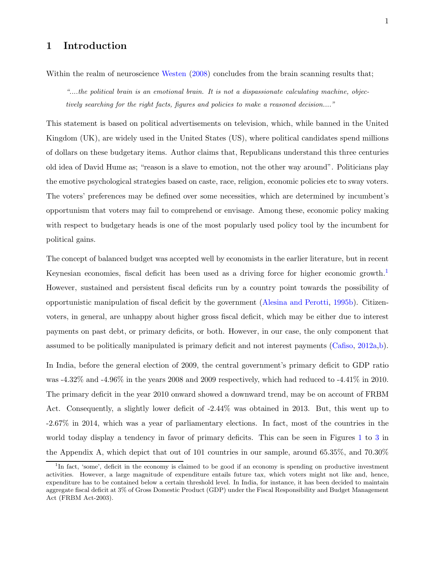# 1 Introduction

Within the realm of neuroscience [Westen](#page-29-0)  $(2008)$  concludes from the brain scanning results that;

"....the political brain is an emotional brain. It is not a dispassionate calculating machine, objectively searching for the right facts, figures and policies to make a reasoned decision...."

This statement is based on political advertisements on television, which, while banned in the United Kingdom (UK), are widely used in the United States (US), where political candidates spend millions of dollars on these budgetary items. Author claims that, Republicans understand this three centuries old idea of David Hume as; "reason is a slave to emotion, not the other way around". Politicians play the emotive psychological strategies based on caste, race, religion, economic policies etc to sway voters. The voters' preferences may be defined over some necessities, which are determined by incumbent's opportunism that voters may fail to comprehend or envisage. Among these, economic policy making with respect to budgetary heads is one of the most popularly used policy tool by the incumbent for political gains.

The concept of balanced budget was accepted well by economists in the earlier literature, but in recent Keynesian economies, fiscal deficit has been used as a driving force for higher economic growth.<sup>[1](#page-2-0)</sup> However, sustained and persistent fiscal deficits run by a country point towards the possibility of opportunistic manipulation of fiscal deficit by the government [\(Alesina and Perotti](#page-27-0), [1995b](#page-27-0)). Citizenvoters, in general, are unhappy about higher gross fiscal deficit, which may be either due to interest payments on past debt, or primary deficits, or both. However, in our case, the only component that assumed to be politically manipulated is primary deficit and not interest payments [\(Cafiso,](#page-27-1) [2012a](#page-27-1)[,b](#page-27-2)).

In India, before the general election of 2009, the central government's primary deficit to GDP ratio was  $-4.32\%$  and  $-4.96\%$  in the years 2008 and 2009 respectively, which had reduced to  $-4.41\%$  in 2010. The primary deficit in the year 2010 onward showed a downward trend, may be on account of FRBM Act. Consequently, a slightly lower deficit of -2.44% was obtained in 2013. But, this went up to -2.67% in 2014, which was a year of parliamentary elections. In fact, most of the countries in the world today display a tendency in favor of primary deficits. This can be seen in Figures [1](#page-31-0) to [3](#page-33-0) in the Appendix A, which depict that out of 101 countries in our sample, around 65.35%, and 70.30%

<span id="page-2-0"></span><sup>&</sup>lt;sup>1</sup>In fact, 'some', deficit in the economy is claimed to be good if an economy is spending on productive investment activities. However, a large magnitude of expenditure entails future tax, which voters might not like and, hence, expenditure has to be contained below a certain threshold level. In India, for instance, it has been decided to maintain aggregate fiscal deficit at 3% of Gross Domestic Product (GDP) under the Fiscal Responsibility and Budget Management Act (FRBM Act-2003).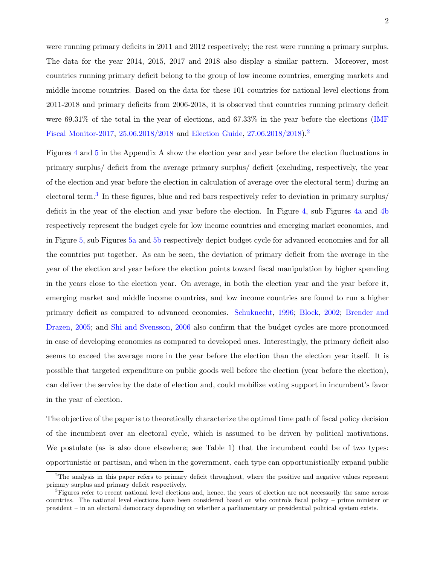were running primary deficits in 2011 and 2012 respectively; the rest were running a primary surplus. The data for the year 2014, 2015, 2017 and 2018 also display a similar pattern. Moreover, most countries running primary deficit belong to the group of low income countries, emerging markets and middle income countries. Based on the data for these 101 countries for national level elections from 2011-2018 and primary deficits from 2006-2018, it is observed that countries running primary deficit were  $69.31\%$  of the total in the year of elections, and  $67.33\%$  in the year before the elections (IMF) Fiscal Monitor-2017, [25.06.2018/2018](#page-28-0) and [Election Guide,](#page-28-1) [27.06.2018/2018\)](#page-28-1).[2](#page-3-0)

Figures [4](#page-34-0) and [5](#page-35-0) in the Appendix A show the election year and year before the election fluctuations in primary surplus/ deficit from the average primary surplus/ deficit (excluding, respectively, the year of the election and year before the election in calculation of average over the electoral term) during an electoral term.<sup>[3](#page-3-1)</sup> In these figures, blue and red bars respectively refer to deviation in primary surplus/ deficit in the year of the election and year before the election. In Figure [4,](#page-34-0) sub Figures [4a](#page-34-1) and [4b](#page-34-2) respectively represent the budget cycle for low income countries and emerging market economies, and in Figure [5,](#page-35-0) sub Figures [5a](#page-35-1) and [5b](#page-35-2) respectively depict budget cycle for advanced economies and for all the countries put together. As can be seen, the deviation of primary deficit from the average in the year of the election and year before the election points toward fiscal manipulation by higher spending in the years close to the election year. On average, in both the election year and the year before it, emerging market and middle income countries, and low income countries are found to run a higher primar[y deficit as compared to advanced economies.](#page-27-4) [Schuknecht,](#page-29-1) [1996](#page-29-1); [Block,](#page-27-3) [2002](#page-27-3); Brender and Drazen, [2005](#page-27-4); and [Shi and Svensson,](#page-29-2) [2006](#page-29-2) also confirm that the budget cycles are more pronounced in case of developing economies as compared to developed ones. Interestingly, the primary deficit also seems to exceed the average more in the year before the election than the election year itself. It is possible that targeted expenditure on public goods well before the election (year before the election), can deliver the service by the date of election and, could mobilize voting support in incumbent's favor in the year of election.

The objective of the paper is to theoretically characterize the optimal time path of fiscal policy decision of the incumbent over an electoral cycle, which is assumed to be driven by political motivations. We postulate (as is also done elsewhere; see Table 1) that the incumbent could be of two types: opportunistic or partisan, and when in the government, each type can opportunistically expand public

<span id="page-3-0"></span> ${}^{2}$ The analysis in this paper refers to primary deficit throughout, where the positive and negative values represent primary surplus and primary deficit respectively.

<span id="page-3-1"></span> ${}^{3}$ Figures refer to recent national level elections and, hence, the years of election are not necessarily the same across countries. The national level elections have been considered based on who controls fiscal policy – prime minister or president – in an electoral democracy depending on whether a parliamentary or presidential political system exists.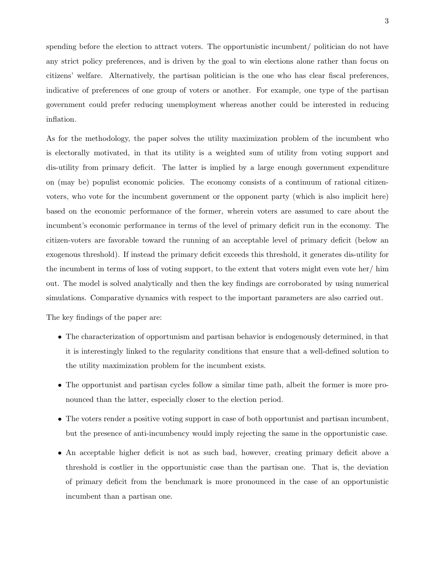spending before the election to attract voters. The opportunistic incumbent/ politician do not have any strict policy preferences, and is driven by the goal to win elections alone rather than focus on citizens' welfare. Alternatively, the partisan politician is the one who has clear fiscal preferences, indicative of preferences of one group of voters or another. For example, one type of the partisan government could prefer reducing unemployment whereas another could be interested in reducing inflation.

As for the methodology, the paper solves the utility maximization problem of the incumbent who is electorally motivated, in that its utility is a weighted sum of utility from voting support and dis-utility from primary deficit. The latter is implied by a large enough government expenditure on (may be) populist economic policies. The economy consists of a continuum of rational citizenvoters, who vote for the incumbent government or the opponent party (which is also implicit here) based on the economic performance of the former, wherein voters are assumed to care about the incumbent's economic performance in terms of the level of primary deficit run in the economy. The citizen-voters are favorable toward the running of an acceptable level of primary deficit (below an exogenous threshold). If instead the primary deficit exceeds this threshold, it generates dis-utility for the incumbent in terms of loss of voting support, to the extent that voters might even vote her/ him out. The model is solved analytically and then the key findings are corroborated by using numerical simulations. Comparative dynamics with respect to the important parameters are also carried out.

The key findings of the paper are:

- The characterization of opportunism and partisan behavior is endogenously determined, in that it is interestingly linked to the regularity conditions that ensure that a well-defined solution to the utility maximization problem for the incumbent exists.
- The opportunist and partisan cycles follow a similar time path, albeit the former is more pronounced than the latter, especially closer to the election period.
- The voters render a positive voting support in case of both opportunist and partisan incumbent, but the presence of anti-incumbency would imply rejecting the same in the opportunistic case.
- An acceptable higher deficit is not as such bad, however, creating primary deficit above a threshold is costlier in the opportunistic case than the partisan one. That is, the deviation of primary deficit from the benchmark is more pronounced in the case of an opportunistic incumbent than a partisan one.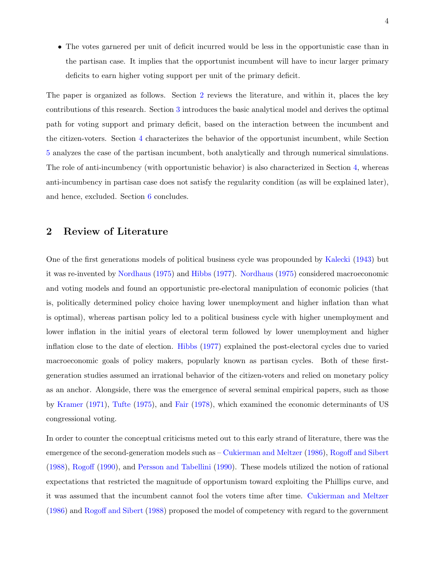• The votes garnered per unit of deficit incurred would be less in the opportunistic case than in the partisan case. It implies that the opportunist incumbent will have to incur larger primary deficits to earn higher voting support per unit of the primary deficit.

The paper is organized as follows. Section [2](#page-5-0) reviews the literature, and within it, places the key contributions of this research. Section [3](#page-8-0) introduces the basic analytical model and derives the optimal path for voting support and primary deficit, based on the interaction between the incumbent and the citizen-voters. Section [4](#page-12-0) characterizes the behavior of the opportunist incumbent, while Section [5](#page-22-0) analyzes the case of the partisan incumbent, both analytically and through numerical simulations. The role of anti-incumbency (with opportunistic behavior) is also characterized in Section [4,](#page-12-0) whereas anti-incumbency in partisan case does not satisfy the regularity condition (as will be explained later), and hence, excluded. Section [6](#page-25-0) concludes.

# <span id="page-5-0"></span>2 Review of Literature

One of the first generations models of political business cycle was propounded by [Kalecki](#page-28-2) [\(1943](#page-28-2)) but it was re-invented by [Nordhaus](#page-28-3) [\(1975](#page-28-3)) and [Hibbs](#page-28-4) [\(1977\)](#page-28-4). [Nordhaus](#page-28-3) [\(1975\)](#page-28-3) considered macroeconomic and voting models and found an opportunistic pre-electoral manipulation of economic policies (that is, politically determined policy choice having lower unemployment and higher inflation than what is optimal), whereas partisan policy led to a political business cycle with higher unemployment and lower inflation in the initial years of electoral term followed by lower unemployment and higher inflation close to the date of election. [Hibbs](#page-28-4) [\(1977](#page-28-4)) explained the post-electoral cycles due to varied macroeconomic goals of policy makers, popularly known as partisan cycles. Both of these firstgeneration studies assumed an irrational behavior of the citizen-voters and relied on monetary policy as an anchor. Alongside, there was the emergence of several seminal empirical papers, such as those by [Kramer](#page-28-5) [\(1971](#page-28-5)), [Tufte](#page-29-3) [\(1975\)](#page-29-3), and [Fair](#page-28-6) [\(1978\)](#page-28-6), which examined the economic determinants of US congressional voting.

In order to counter the conceptual criticisms meted out to this early strand of literature, there was the emergence of the second-generation models such as – [Cukierman and Meltzer](#page-28-7) [\(1986](#page-28-7)), [Rogoff and Sibert](#page-29-4) [\(1988\)](#page-29-4), [Rogoff](#page-29-5) [\(1990\)](#page-29-5), and [Persson and Tabellini](#page-29-6) [\(1990\)](#page-29-6). These models utilized the notion of rational expectations that restricted the magnitude of opportunism toward exploiting the Phillips curve, and it was assumed that the incumbent cannot fool the voters time after time. [Cukierman and Meltzer](#page-28-7) [\(1986\)](#page-28-7) and [Rogoff and Sibert](#page-29-4) [\(1988](#page-29-4)) proposed the model of competency with regard to the government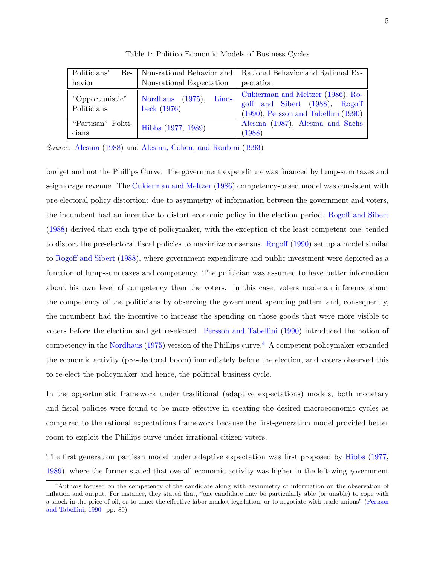| Politicians'<br>Be-<br>havior  | Non-rational Expectation                    | Non-rational Behavior and   Rational Behavior and Rational Ex-<br>pectation                                      |
|--------------------------------|---------------------------------------------|------------------------------------------------------------------------------------------------------------------|
| "Opportunistic"<br>Politicians | Nordhaus $(1975)$ ,<br>Lind-<br>beck (1976) | Cukierman and Meltzer (1986), Ro-<br>goff and Sibert (1988), Rogoff<br>$(1990)$ , Persson and Tabellini $(1990)$ |
| "Partisan" Politi-<br>cians    | Hibbs (1977, 1989)                          | Alesina (1987), Alesina and Sachs<br>(1988)                                                                      |

Table 1: Politico Economic Models of Business Cycles

Source: [Alesina](#page-27-7) [\(1988\)](#page-27-7) and [Alesina, Cohen, and Roubini](#page-27-8) [\(1993](#page-27-8))

budget and not the Phillips Curve. The government expenditure was financed by lump-sum taxes and seigniorage revenue. The [Cukierman and Meltzer](#page-28-7) [\(1986](#page-28-7)) competency-based model was consistent with pre-electoral policy distortion: due to asymmetry of information between the government and voters, the incumbent had an incentive to distort economic policy in the election period. [Rogoff and Sibert](#page-29-4) [\(1988\)](#page-29-4) derived that each type of policymaker, with the exception of the least competent one, tended to distort the pre-electoral fiscal policies to maximize consensus. [Rogoff](#page-29-5) [\(1990\)](#page-29-5) set up a model similar to [Rogoff and Sibert](#page-29-4) [\(1988](#page-29-4)), where government expenditure and public investment were depicted as a function of lump-sum taxes and competency. The politician was assumed to have better information about his own level of competency than the voters. In this case, voters made an inference about the competency of the politicians by observing the government spending pattern and, consequently, the incumbent had the incentive to increase the spending on those goods that were more visible to voters before the election and get re-elected. [Persson and Tabellini](#page-29-6) [\(1990\)](#page-29-6) introduced the notion of competency in the [Nordhaus](#page-28-3) [\(1975\)](#page-28-3) version of the Phillips curve.<sup>[4](#page-6-0)</sup> A competent policymaker expanded the economic activity (pre-electoral boom) immediately before the election, and voters observed this to re-elect the policymaker and hence, the political business cycle.

In the opportunistic framework under traditional (adaptive expectations) models, both monetary and fiscal policies were found to be more effective in creating the desired macroeconomic cycles as compared to the rational expectations framework because the first-generation model provided better room to exploit the Phillips curve under irrational citizen-voters.

The first generation partisan model under adaptive expectation was first proposed by [Hibbs](#page-28-4) [\(1977,](#page-28-4) [1989](#page-28-9)), where the former stated that overall economic activity was higher in the left-wing government

<span id="page-6-0"></span><sup>4</sup>Authors focused on the competency of the candidate along with asymmetry of information on the observation of inflation and output. For instance, they stated that, "one candidate may be particularly able (or unable) to cope with a shock in th[e price of oil, or to enact the effective labor market legislation, or to negotiate with trade unions" \(](#page-29-6)Persson and Tabellini, [1990.](#page-29-6) pp. 80).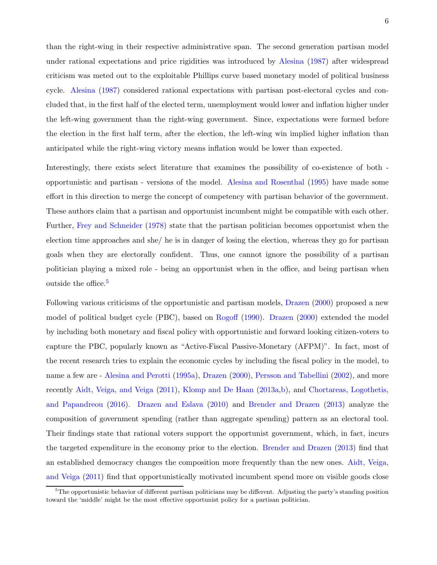than the right-wing in their respective administrative span. The second generation partisan model under rational expectations and price rigidities was introduced by [Alesina](#page-27-5) [\(1987](#page-27-5)) after widespread criticism was meted out to the exploitable Phillips curve based monetary model of political business cycle. [Alesina](#page-27-5) [\(1987\)](#page-27-5) considered rational expectations with partisan post-electoral cycles and concluded that, in the first half of the elected term, unemployment would lower and inflation higher under the left-wing government than the right-wing government. Since, expectations were formed before the election in the first half term, after the election, the left-wing win implied higher inflation than anticipated while the right-wing victory means inflation would be lower than expected.

Interestingly, there exists select literature that examines the possibility of co-existence of both opportunistic and partisan - versions of the model. [Alesina and Rosenthal](#page-27-9) [\(1995\)](#page-27-9) have made some effort in this direction to merge the concept of competency with partisan behavior of the government. These authors claim that a partisan and opportunist incumbent might be compatible with each other. Further, [Frey and Schneider](#page-28-10) [\(1978](#page-28-10)) state that the partisan politician becomes opportunist when the election time approaches and she/ he is in danger of losing the election, whereas they go for partisan goals when they are electorally confident. Thus, one cannot ignore the possibility of a partisan politician playing a mixed role - being an opportunist when in the office, and being partisan when outside the office.<sup>[5](#page-7-0)</sup>

Following various criticisms of the opportunistic and partisan models, [Drazen](#page-28-11) [\(2000\)](#page-28-11) proposed a new model of political budget cycle (PBC), based on [Rogoff](#page-29-5) [\(1990\)](#page-29-5). [Drazen](#page-28-11) [\(2000](#page-28-11)) extended the model by including both monetary and fiscal policy with opportunistic and forward looking citizen-voters to capture the PBC, popularly known as "Active-Fiscal Passive-Monetary (AFPM)". In fact, most of the recent research tries to explain the economic cycles by including the fiscal policy in the model, to name a few are - [Alesina and Perotti](#page-27-10) [\(1995a](#page-27-10)), [Drazen](#page-28-11) [\(2000](#page-28-11)), [Persson and Tabellini](#page-29-7) [\(2002](#page-29-7)), and more recently [Aidt, Veiga, and Veiga](#page-27-11) [\(2011\)](#page-27-11), [Klomp and De Haan](#page-28-12) [\(2013a](#page-28-12)[,b\)](#page-28-13), and Chortareas, Logothetis, and Papandreou [\(2016](#page-27-12)). [Drazen and Eslava](#page-28-14) [\(2010\)](#page-28-14) and [Brender and Drazen](#page-27-13) [\(2013](#page-27-13)) analyze the composition of government spending (rather than aggregate spending) pattern as an electoral tool. Their findings state that rational voters support the opportunist government, which, in fact, incurs the targeted expenditure in the economy prior to the election. [Brender and Drazen](#page-27-13) [\(2013\)](#page-27-13) find that an establi[shed democracy changes the composition more frequently than the new ones.](#page-27-11) Aidt, Veiga, and Veiga [\(2011](#page-27-11)) find that opportunistically motivated incumbent spend more on visible goods close

<span id="page-7-0"></span> ${}^{5}$ The opportunistic behavior of different partisan politicians may be different. Adjusting the party's standing position toward the 'middle' might be the most effective opportunist policy for a partisan politician.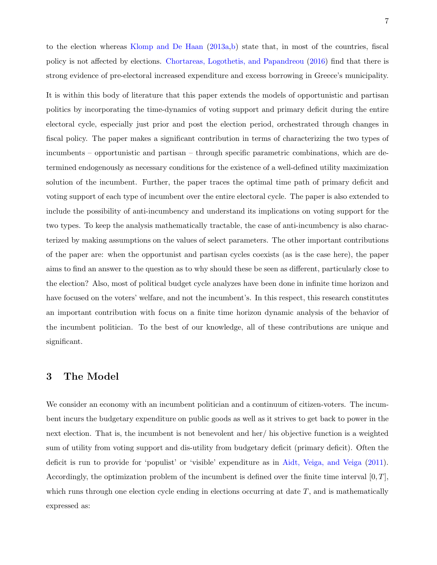to the election whereas [Klomp and De Haan](#page-28-12) [\(2013a](#page-28-12)[,b](#page-28-13)) state that, in most of the countries, fiscal policy is not affected by elections. [Chortareas, Logothetis, and Papandreou](#page-27-12) [\(2016\)](#page-27-12) find that there is strong evidence of pre-electoral increased expenditure and excess borrowing in Greece's municipality.

It is within this body of literature that this paper extends the models of opportunistic and partisan politics by incorporating the time-dynamics of voting support and primary deficit during the entire electoral cycle, especially just prior and post the election period, orchestrated through changes in fiscal policy. The paper makes a significant contribution in terms of characterizing the two types of incumbents – opportunistic and partisan – through specific parametric combinations, which are determined endogenously as necessary conditions for the existence of a well-defined utility maximization solution of the incumbent. Further, the paper traces the optimal time path of primary deficit and voting support of each type of incumbent over the entire electoral cycle. The paper is also extended to include the possibility of anti-incumbency and understand its implications on voting support for the two types. To keep the analysis mathematically tractable, the case of anti-incumbency is also characterized by making assumptions on the values of select parameters. The other important contributions of the paper are: when the opportunist and partisan cycles coexists (as is the case here), the paper aims to find an answer to the question as to why should these be seen as different, particularly close to the election? Also, most of political budget cycle analyzes have been done in infinite time horizon and have focused on the voters' welfare, and not the incumbent's. In this respect, this research constitutes an important contribution with focus on a finite time horizon dynamic analysis of the behavior of the incumbent politician. To the best of our knowledge, all of these contributions are unique and significant.

# <span id="page-8-0"></span>3 The Model

We consider an economy with an incumbent politician and a continuum of citizen-voters. The incumbent incurs the budgetary expenditure on public goods as well as it strives to get back to power in the next election. That is, the incumbent is not benevolent and her/ his objective function is a weighted sum of utility from voting support and dis-utility from budgetary deficit (primary deficit). Often the deficit is run to provide for 'populist' or 'visible' expenditure as in [Aidt, Veiga, and Veiga](#page-27-11) [\(2011](#page-27-11)). Accordingly, the optimization problem of the incumbent is defined over the finite time interval  $[0, T]$ , which runs through one election cycle ending in elections occurring at date  $T$ , and is mathematically expressed as: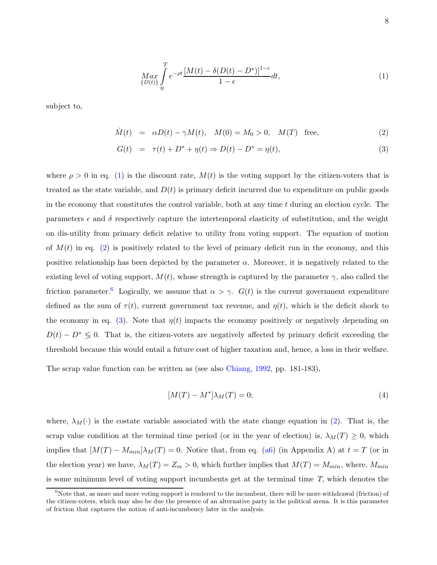<span id="page-9-0"></span>
$$
\underset{\{D(t)\}}{\underset{\{D(t)\}}{\text{max}}} \int_{0}^{T} e^{-\rho t} \frac{[M(t) - \delta(D(t) - D^*)]^{1-\epsilon}}{1-\epsilon} dt,\tag{1}
$$

subject to,

<span id="page-9-1"></span>
$$
\dot{M}(t) = \alpha D(t) - \gamma M(t), \quad M(0) = M_0 > 0, \quad M(T) \text{ free}, \tag{2}
$$

$$
G(t) = \tau(t) + D^* + \eta(t) \Rightarrow D(t) - D^* = \eta(t),
$$
\n(3)

where  $\rho > 0$  in eq. [\(1\)](#page-9-0) is the discount rate,  $M(t)$  is the voting support by the citizen-voters that is treated as the state variable, and  $D(t)$  is primary deficit incurred due to expenditure on public goods in the economy that constitutes the control variable, both at any time  $t$  during an election cycle. The parameters  $\epsilon$  and  $\delta$  respectively capture the intertemporal elasticity of substitution, and the weight on dis-utility from primary deficit relative to utility from voting support. The equation of motion of  $M(t)$  in eq. [\(2\)](#page-9-1) is positively related to the level of primary deficit run in the economy, and this positive relationship has been depicted by the parameter  $\alpha$ . Moreover, it is negatively related to the existing level of voting support,  $M(t)$ , whose strength is captured by the parameter  $\gamma$ , also called the friction parameter.<sup>[6](#page-9-2)</sup> Logically, we assume that  $\alpha > \gamma$ .  $G(t)$  is the current government expenditure defined as the sum of  $\tau(t)$ , current government tax revenue, and  $\eta(t)$ , which is the deficit shock to the economy in eq. [\(3\)](#page-9-1). Note that  $\eta(t)$  impacts the economy positively or negatively depending on  $D(t) - D^* \leq 0$ . That is, the citizen-voters are negatively affected by primary deficit exceeding the threshold because this would entail a future cost of higher taxation and, hence, a loss in their welfare.

The scrap value function can be written as (see also [Chiang,](#page-27-14) [1992](#page-27-14), pp. 181-183),

$$
[M(T) - M^*]\lambda_M(T) = 0;\t\t(4)
$$

where,  $\lambda_M(\cdot)$  is the costate variable associated with the state change equation in [\(2\)](#page-9-1). That is, the scrap value condition at the terminal time period (or in the year of election) is,  $\lambda_M(T) \geq 0$ , which implies that  $[M(T) - M_{min}] \lambda_M(T) = 0$ . Notice that, from eq. [\(a6\)](#page-36-0) (in Appendix A) at  $t = T$  (or in the election year) we have,  $\lambda_M(T) = Z_m > 0$ , which further implies that  $M(T) = M_{min}$ , where,  $M_{min}$ is some minimum level of voting support incumbents get at the terminal time  $T$ , which denotes the

<span id="page-9-2"></span> $6$ Note that, as more and more voting support is rendered to the incumbent, there will be more withdrawal (friction) of the citizen-voters, which may also be due the presence of an alternative party in the political arena. It is this parameter of friction that captures the notion of anti-incumbency later in the analysis.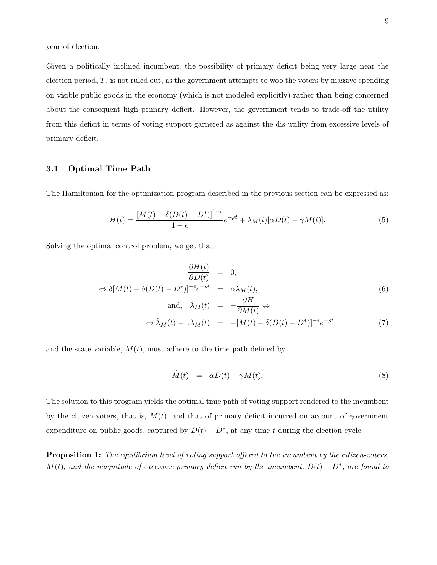year of election.

Given a politically inclined incumbent, the possibility of primary deficit being very large near the election period,  $T$ , is not ruled out, as the government attempts to woo the voters by massive spending on visible public goods in the economy (which is not modeled explicitly) rather than being concerned about the consequent high primary deficit. However, the government tends to trade-off the utility from this deficit in terms of voting support garnered as against the dis-utility from excessive levels of primary deficit.

#### 3.1 Optimal Time Path

The Hamiltonian for the optimization program described in the previous section can be expressed as:

$$
H(t) = \frac{[M(t) - \delta(D(t) - D^*)]^{1-\epsilon}}{1-\epsilon}e^{-\rho t} + \lambda_M(t)[\alpha D(t) - \gamma M(t)].
$$
\n(5)

Solving the optimal control problem, we get that,

$$
\frac{\partial H(t)}{\partial D(t)} = 0,
$$
  
\n
$$
\Leftrightarrow \delta[M(t) - \delta(D(t) - D^*)]^{-\epsilon} e^{-\rho t} = \alpha \lambda_M(t),
$$
  
\nand,  $\dot{\lambda}_M(t) = -\frac{\partial H}{\partial M(t)} \Leftrightarrow$  (6)

$$
\Leftrightarrow \dot{\lambda}_M(t) - \gamma \lambda_M(t) = -[M(t) - \delta(D(t) - D^*)]^{-\epsilon} e^{-\rho t}, \tag{7}
$$

and the state variable,  $M(t)$ , must adhere to the time path defined by

<span id="page-10-0"></span>
$$
\dot{M}(t) = \alpha D(t) - \gamma M(t). \tag{8}
$$

The solution to this program yields the optimal time path of voting support rendered to the incumbent by the citizen-voters, that is,  $M(t)$ , and that of primary deficit incurred on account of government expenditure on public goods, captured by  $D(t) - D^*$ , at any time t during the election cycle.

**Proposition 1:** The equilibrium level of voting support offered to the incumbent by the citizen-voters,  $M(t)$ , and the magnitude of excessive primary deficit run by the incumbent,  $D(t) - D^*$ , are found to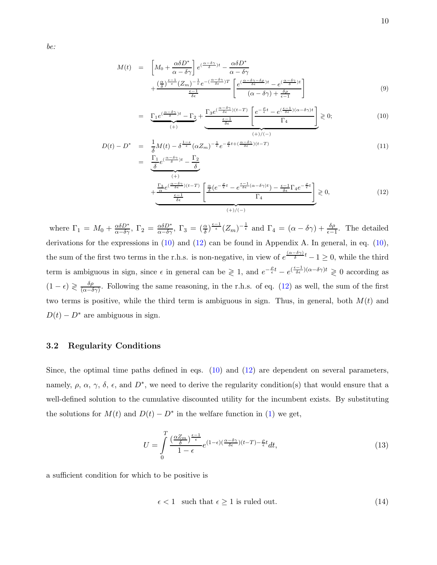be:

<span id="page-11-0"></span>
$$
M(t) = \left[ M_0 + \frac{\alpha \delta D^*}{\alpha - \delta \gamma} \right] e^{(\frac{\alpha - \delta \gamma}{\delta})t} - \frac{\alpha \delta D^*}{\alpha - \delta \gamma} + \frac{\left(\frac{\alpha}{\delta}\right)^{\frac{\epsilon - 1}{\epsilon}} (Z_m)^{-\frac{1}{\epsilon}} e^{-\left(\frac{\alpha - \delta \gamma}{\delta \epsilon}\right)T}}{\frac{\epsilon - 1}{\delta \epsilon}} \left[ \frac{e^{(\frac{\alpha - \delta \gamma - \delta \rho}{\delta \epsilon})t} - e^{(\frac{\alpha - \delta \gamma}{\delta})t}}{(\alpha - \delta \gamma) + \frac{\delta \rho}{\epsilon - 1}} \right]
$$
(9)

$$
= \underbrace{\Gamma_1 e^{(\frac{\alpha-\delta\gamma}{\delta})t} - \Gamma_2}_{(+)} + \underbrace{\Gamma_3 e^{(\frac{\alpha-\delta\gamma}{\delta\epsilon})(t-T)} \left[ \frac{e^{-\frac{\rho}{\epsilon}t} - e^{(\frac{\epsilon-1}{\delta\epsilon})(\alpha-\delta\gamma)t}}{\Gamma_4} \right]}_{(+) / (-)} \geq 0; \tag{10}
$$

$$
D(t) - D^* = \frac{1}{\delta}M(t) - \delta^{\frac{1-\epsilon}{\epsilon}}(\alpha Z_m)^{-\frac{1}{\epsilon}}e^{-\frac{\rho}{\epsilon}t + (\frac{\alpha-\delta\gamma}{\delta\epsilon})(t-T)}
$$
  
= 
$$
\frac{\Gamma_1}{\delta}e^{(\frac{\alpha-\delta\gamma}{\delta})t} - \frac{\Gamma_2}{\delta}
$$
 (11)

$$
+\frac{\frac{\Gamma_3}{\alpha}e^{(\frac{\alpha-\delta\gamma}{\delta\epsilon})(t-T)}}{\frac{\epsilon-1}{\delta\epsilon}} \left[\frac{\frac{\alpha}{\delta}(e^{-\frac{\rho}{\epsilon}t}-e^{\frac{\epsilon-1}{\delta\epsilon}(\alpha-\delta\gamma)t})-\frac{\epsilon-1}{\delta\epsilon}\Gamma_4e^{-\frac{\rho}{\epsilon}t}}{\Gamma_4}\right] \geq 0,
$$
\n
$$
(+)/(-)
$$
\n(12)

where  $\Gamma_1 = M_0 + \frac{\alpha \delta D^*}{\alpha - \delta \gamma}$ ,  $\Gamma_2 = \frac{\alpha \delta D^*}{\alpha - \delta \gamma}$ ,  $\Gamma_3 = (\frac{\alpha}{\delta})^{\frac{\epsilon-1}{\epsilon}} (Z_m)^{-\frac{1}{\epsilon}}$  and  $\Gamma_4 = (\alpha - \delta \gamma) + \frac{\delta \rho}{\epsilon - 1}$ . The detailed derivations for the expressions in  $(10)$  and  $(12)$  can be found in Appendix A. In general, in eq.  $(10)$ , the sum of the first two terms in the r.h.s. is non-negative, in view of  $e^{\frac{(\alpha-\delta\gamma)}{\delta}t}-1\geq 0$ , while the third term is ambiguous in sign, since  $\epsilon$  in general can be  $\geq 1$ , and  $e^{-\frac{\rho}{\epsilon}t} - e^{(\frac{\epsilon-1}{\delta\epsilon})(\alpha-\delta\gamma)t} \geq 0$  according as  $(1 - \epsilon) \geqslant \frac{\delta \rho}{\sqrt{\alpha - \delta}}$  $\frac{\partial \rho}{(\alpha - \delta \gamma)}$ . Following the same reasoning, in the r.h.s. of eq. [\(12\)](#page-11-0) as well, the sum of the first two terms is positive, while the third term is ambiguous in sign. Thus, in general, both  $M(t)$  and  $D(t) - D^*$  are ambiguous in sign.

## 3.2 Regularity Conditions

Since, the optimal time paths defined in eqs. [\(10\)](#page-11-0) and [\(12\)](#page-11-0) are dependent on several parameters, namely,  $\rho$ ,  $\alpha$ ,  $\gamma$ ,  $\delta$ ,  $\epsilon$ , and  $D^*$ , we need to derive the regularity condition(s) that would ensure that a well-defined solution to the cumulative discounted utility for the incumbent exists. By substituting the solutions for  $M(t)$  and  $D(t) - D^*$  in the welfare function in [\(1\)](#page-9-0) we get,

<span id="page-11-1"></span>
$$
U = \int_{0}^{T} \frac{\left(\frac{\alpha Z_m}{\delta}\right)^{\frac{\epsilon-1}{\epsilon}}}{1-\epsilon} e^{(1-\epsilon)\left(\frac{\alpha-\delta\gamma}{\delta\epsilon}\right)(t-T) - \frac{\rho}{\epsilon}t} dt,\tag{13}
$$

a sufficient condition for which to be positive is

$$
\epsilon < 1 \quad \text{such that } \epsilon \ge 1 \text{ is ruled out.} \tag{14}
$$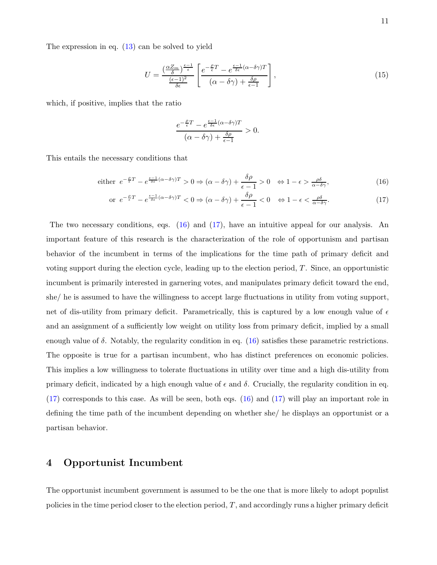The expression in eq. [\(13\)](#page-11-1) can be solved to yield

$$
U = \frac{\left(\frac{\alpha Z_m}{\delta}\right)^{\frac{\epsilon - 1}{\epsilon}}}{\frac{(\epsilon - 1)^2}{\delta \epsilon}} \left[ \frac{e^{-\frac{\rho}{\epsilon}T} - e^{\frac{\epsilon - 1}{\delta \epsilon}(\alpha - \delta \gamma)T}}{(\alpha - \delta \gamma) + \frac{\delta \rho}{\epsilon - 1}} \right],
$$
\n(15)

which, if positive, implies that the ratio

$$
\frac{e^{-\frac{\rho}{\epsilon}T}-e^{\frac{\epsilon-1}{\delta\epsilon}(\alpha-\delta\gamma)T}}{(\alpha-\delta\gamma)+\frac{\delta\rho}{\epsilon-1}}>0.
$$

This entails the necessary conditions that

<span id="page-12-1"></span>either 
$$
e^{-\frac{\rho}{\epsilon}T} - e^{\frac{\epsilon - 1}{\delta \epsilon}(\alpha - \delta \gamma)T} > 0 \Rightarrow (\alpha - \delta \gamma) + \frac{\delta \rho}{\epsilon - 1} > 0 \Leftrightarrow 1 - \epsilon > \frac{\rho \delta}{\alpha - \delta \gamma},
$$
 (16)

$$
\text{or } e^{-\frac{\rho}{\epsilon}T} - e^{\frac{\epsilon - 1}{\delta \epsilon}(\alpha - \delta\gamma)T} < 0 \Rightarrow (\alpha - \delta\gamma) + \frac{\delta\rho}{\epsilon - 1} < 0 \quad \Leftrightarrow 1 - \epsilon < \frac{\rho\delta}{\alpha - \delta\gamma}.\tag{17}
$$

The two necessary conditions, eqs. [\(16\)](#page-12-1) and [\(17\)](#page-12-1), have an intuitive appeal for our analysis. An important feature of this research is the characterization of the role of opportunism and partisan behavior of the incumbent in terms of the implications for the time path of primary deficit and voting support during the election cycle, leading up to the election period, T. Since, an opportunistic incumbent is primarily interested in garnering votes, and manipulates primary deficit toward the end, she/ he is assumed to have the willingness to accept large fluctuations in utility from voting support, net of dis-utility from primary deficit. Parametrically, this is captured by a low enough value of  $\epsilon$ and an assignment of a sufficiently low weight on utility loss from primary deficit, implied by a small enough value of  $\delta$ . Notably, the regularity condition in eq. [\(16\)](#page-12-1) satisfies these parametric restrictions. The opposite is true for a partisan incumbent, who has distinct preferences on economic policies. This implies a low willingness to tolerate fluctuations in utility over time and a high dis-utility from primary deficit, indicated by a high enough value of  $\epsilon$  and  $\delta$ . Crucially, the regularity condition in eq. [\(17\)](#page-12-1) corresponds to this case. As will be seen, both eqs. [\(16\)](#page-12-1) and [\(17\)](#page-12-1) will play an important role in defining the time path of the incumbent depending on whether she/ he displays an opportunist or a partisan behavior.

# <span id="page-12-0"></span>4 Opportunist Incumbent

The opportunist incumbent government is assumed to be the one that is more likely to adopt populist policies in the time period closer to the election period,  $T$ , and accordingly runs a higher primary deficit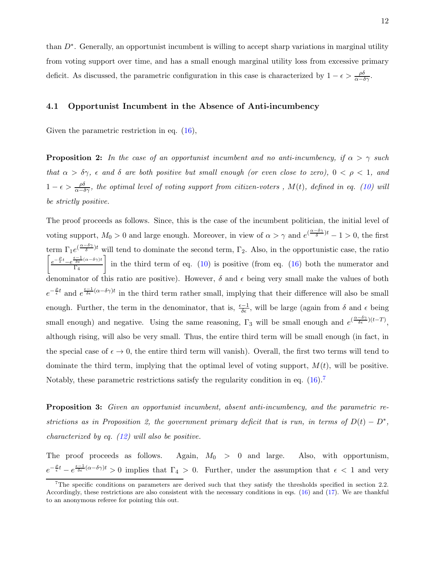than  $D^*$ . Generally, an opportunist incumbent is willing to accept sharp variations in marginal utility from voting support over time, and has a small enough marginal utility loss from excessive primary deficit. As discussed, the parametric configuration in this case is characterized by  $1 - \epsilon > \frac{\rho \delta}{\alpha - \delta \gamma}$ .

## 4.1 Opportunist Incumbent in the Absence of Anti-incumbency

Given the parametric restriction in eq.  $(16)$ ,

**Proposition 2:** In the case of an opportunist incumbent and no anti-incumbency, if  $\alpha > \gamma$  such that  $\alpha > \delta \gamma$ ,  $\epsilon$  and  $\delta$  are both positive but small enough (or even close to zero),  $0 < \rho < 1$ , and  $1-\epsilon > \frac{\rho\delta}{\alpha-\delta\gamma}$ , the optimal level of voting support from citizen-voters,  $M(t)$ , defined in eq. [\(10\)](#page-11-0) will be strictly positive.

The proof proceeds as follows. Since, this is the case of the incumbent politician, the initial level of voting support,  $M_0 > 0$  and large enough. Moreover, in view of  $\alpha > \gamma$  and  $e^{(\frac{\alpha - \delta \gamma}{\delta})t} - 1 > 0$ , the first term  $\Gamma_1 e^{(\frac{\alpha-\delta\gamma}{\delta})t}$  will tend to dominate the second term,  $\Gamma_2$ . Also, in the opportunistic case, the ratio  $\int e^{-\frac{\rho}{\epsilon}t} - e^{-\frac{\epsilon-1}{\delta\epsilon}(\alpha-\delta\gamma)t}$  $\Gamma_4$ in the third term of eq.  $(10)$  is positive (from eq.  $(16)$  both the numerator and denominator of this ratio are positive). However,  $\delta$  and  $\epsilon$  being very small make the values of both  $e^{-\frac{\rho}{\epsilon}t}$  and  $e^{\frac{\epsilon-1}{\delta\epsilon}(\alpha-\delta\gamma)t}$  in the third term rather small, implying that their difference will also be small enough. Further, the term in the denominator, that is,  $\frac{\epsilon-1}{\delta\epsilon}$ , will be large (again from  $\delta$  and  $\epsilon$  being small enough) and negative. Using the same reasoning,  $\Gamma_3$  will be small enough and  $e^{(\frac{\alpha-\delta\gamma}{\delta\epsilon})(t-T)}$ , although rising, will also be very small. Thus, the entire third term will be small enough (in fact, in the special case of  $\epsilon \to 0$ , the entire third term will vanish). Overall, the first two terms will tend to dominate the third term, implying that the optimal level of voting support,  $M(t)$ , will be positive. Notably, these parametric restrictions satisfy the regularity condition in eq.  $(16)^7$  $(16)^7$ 

Proposition 3: Given an opportunist incumbent, absent anti-incumbency, and the parametric restrictions as in Proposition 2, the government primary deficit that is run, in terms of  $D(t) - D^*$ , characterized by eq.  $(12)$  will also be positive.

The proof proceeds as follows. Again,  $M_0 > 0$  and large. Also, with opportunism,  $e^{-\frac{\rho}{\epsilon}t} - e^{\frac{\epsilon-1}{\delta\epsilon}(\alpha-\delta\gamma)t} > 0$  implies that  $\Gamma_4 > 0$ . Further, under the assumption that  $\epsilon < 1$  and very

<span id="page-13-0"></span><sup>&</sup>lt;sup>7</sup>The specific conditions on parameters are derived such that they satisfy the thresholds specified in section 2.2. Accordingly, these restrictions are also consistent with the necessary conditions in eqs. [\(16\)](#page-12-1) and [\(17\)](#page-12-1). We are thankful to an anonymous referee for pointing this out.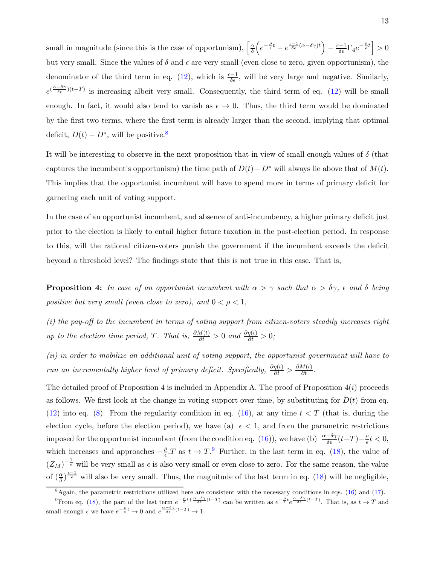small in magnitude (since this is the case of opportunism),  $\left[\frac{\alpha}{\delta}\right]$  $\frac{\alpha}{\delta}\Bigl(e^{-\frac{\rho}{\epsilon}t}-e^{\frac{\epsilon-1}{\delta\epsilon}(\alpha-\delta\gamma)t}\Bigr)-\frac{\epsilon-1}{\delta\epsilon}\Gamma_4e^{-\frac{\rho}{\epsilon}t}\Bigr]>0$ but very small. Since the values of  $\delta$  and  $\epsilon$  are very small (even close to zero, given opportunism), the denominator of the third term in eq. [\(12\)](#page-11-0), which is  $\frac{\epsilon - 1}{\delta \epsilon}$ , will be very large and negative. Similarly,  $e^{(\frac{\alpha-\delta\gamma}{\delta\epsilon})(t-T)}$  is increasing albeit very small. Consequently, the third term of eq. [\(12\)](#page-11-0) will be small enough. In fact, it would also tend to vanish as  $\epsilon \to 0$ . Thus, the third term would be dominated by the first two terms, where the first term is already larger than the second, implying that optimal deficit,  $D(t) - D^*$ , will be positive.<sup>[8](#page-14-0)</sup>

It will be interesting to observe in the next proposition that in view of small enough values of  $\delta$  (that captures the incumbent's opportunism) the time path of  $D(t)-D^*$  will always lie above that of  $M(t)$ . This implies that the opportunist incumbent will have to spend more in terms of primary deficit for garnering each unit of voting support.

In the case of an opportunist incumbent, and absence of anti-incumbency, a higher primary deficit just prior to the election is likely to entail higher future taxation in the post-election period. In response to this, will the rational citizen-voters punish the government if the incumbent exceeds the deficit beyond a threshold level? The findings state that this is not true in this case. That is,

**Proposition 4:** In case of an opportunist incumbent with  $\alpha > \gamma$  such that  $\alpha > \delta \gamma$ ,  $\epsilon$  and  $\delta$  being positive but very small (even close to zero), and  $0 < \rho < 1$ ,

(i) the pay-off to the incumbent in terms of voting support from citizen-voters steadily increases right up to the election time period, T. That is,  $\frac{\partial M(t)}{\partial t} > 0$  and  $\frac{\partial \eta(t)}{\partial t} > 0$ ;

(ii) in order to mobilize an additional unit of voting support, the opportunist government will have to run an incrementally higher level of primary deficit. Specifically,  $\frac{\partial \eta(t)}{\partial t} > \frac{\partial M(t)}{\partial t}$ .

The detailed proof of Proposition 4 is included in Appendix A. The proof of Proposition  $4(i)$  proceeds as follows. We first look at the change in voting support over time, by substituting for  $D(t)$  from eq. [\(12\)](#page-11-0) into eq. [\(8\)](#page-10-0). From the regularity condition in eq. [\(16\)](#page-12-1), at any time  $t < T$  (that is, during the election cycle, before the election period), we have (a)  $\epsilon < 1$ , and from the parametric restrictions imposed for the opportunist incumbent (from the condition eq. [\(16\)](#page-12-1)), we have (b)  $\frac{\alpha-\delta\gamma}{\delta\epsilon}(t-T)-\frac{\rho}{\epsilon}$  $\frac{\rho}{\epsilon}t<0,$ which increases and approaches  $-\frac{\rho}{e}$  $\frac{\rho}{\epsilon}$ . T as  $t \to T$ . Further, in the last term in eq. [\(18\)](#page-15-0), the value of  $(Z_M)^{-\frac{1}{\epsilon}}$  will be very small as  $\epsilon$  is also very small or even close to zero. For the same reason, the value of  $\left(\frac{\alpha}{\delta}\right)^{\frac{\epsilon-1}{\epsilon}}$  will also be very small. Thus, the magnitude of the last term in eq. [\(18\)](#page-15-0) will be negligible,

<span id="page-14-0"></span> $8$ Again, the parametric restrictions utilized here are consistent with the necessary conditions in eqs. [\(16\)](#page-12-1) and [\(17\)](#page-12-1).

<span id="page-14-1"></span>Prom eq. [\(18\)](#page-15-0), the part of the last term  $e^{-\frac{\rho}{\epsilon}t + \frac{\alpha-\delta\gamma}{\delta\epsilon}(t-T)}$  can be written as  $e^{-\frac{\rho}{\epsilon}t}e^{\frac{\alpha-\delta\gamma}{\delta\epsilon}(t-T)}$ . That is, as  $t \to T$  and small enough  $\epsilon$  we have  $e^{-\frac{\beta}{\epsilon}t} \to 0$  and  $e^{\frac{\alpha-\delta\gamma}{\delta\epsilon}(t-T)} \to 1$ .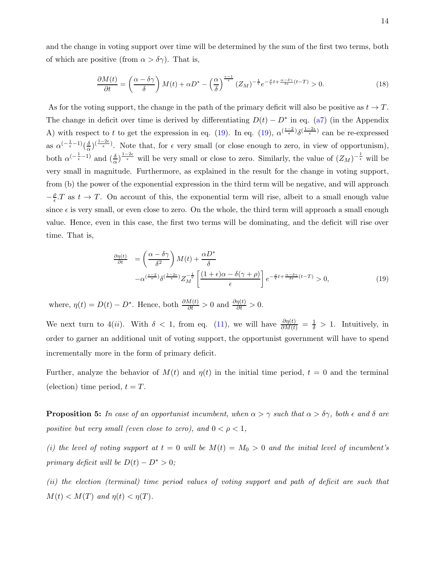and the change in voting support over time will be determined by the sum of the first two terms, both of which are positive (from  $\alpha > \delta \gamma$ ). That is,

<span id="page-15-0"></span>
$$
\frac{\partial M(t)}{\partial t} = \left(\frac{\alpha - \delta\gamma}{\delta}\right)M(t) + \alpha D^* - \left(\frac{\alpha}{\delta}\right)^{\frac{\epsilon - 1}{\epsilon}}(Z_M)^{-\frac{1}{\epsilon}}e^{-\frac{\rho}{\epsilon}t + \frac{\alpha - \delta\gamma}{\delta\epsilon}(t - T)} > 0.
$$
\n(18)

As for the voting support, the change in the path of the primary deficit will also be positive as  $t \to T$ . The change in deficit over time is derived by differentiating  $D(t) - D^*$  in eq. [\(a7\)](#page-36-1) (in the Appendix A) with respect to t to get the expression in eq. [\(19\)](#page-15-1). In eq. (19),  $\alpha^{(\frac{\epsilon-2}{\epsilon})}\delta^{(\frac{1-2\epsilon}{\epsilon})}$  can be re-expressed as  $\alpha^{(-\frac{1}{\epsilon}-1)}(\frac{\delta}{\alpha})$  $\frac{\delta}{\alpha}$ )<sup>( $\frac{1-2\epsilon}{\epsilon}$ ). Note that, for  $\epsilon$  very small (or close enough to zero, in view of opportunism),</sup> both  $\alpha^{(-\frac{1}{\epsilon}-1)}$  and  $(\frac{\delta}{\alpha})^{\frac{1-2\epsilon}{\epsilon}}$  will be very small or close to zero. Similarly, the value of  $(Z_M)^{-\frac{1}{\epsilon}}$  will be very small in magnitude. Furthermore, as explained in the result for the change in voting support, from (b) the power of the exponential expression in the third term will be negative, and will approach  $-\frac{\rho}{\epsilon}$  $\frac{\rho}{\epsilon}$ . T as  $t \to T$ . On account of this, the exponential term will rise, albeit to a small enough value since  $\epsilon$  is very small, or even close to zero. On the whole, the third term will approach a small enough value. Hence, even in this case, the first two terms will be dominating, and the deficit will rise over time. That is,

<span id="page-15-1"></span>
$$
\frac{\partial \eta(t)}{\partial t} = \left(\frac{\alpha - \delta\gamma}{\delta^2}\right) M(t) + \frac{\alpha D^*}{\delta} \n- \alpha^{\left(\frac{\epsilon - 2}{\epsilon}\right)} \delta^{\left(\frac{1 - 2\epsilon}{\epsilon}\right)} Z_M^{-\frac{1}{\epsilon}} \left[ \frac{(1 + \epsilon)\alpha - \delta(\gamma + \rho)}{\epsilon} \right] e^{-\frac{\rho}{\epsilon}t + \frac{\alpha - \delta\gamma}{\delta\epsilon}(t - T)} > 0,
$$
\n(19)

where,  $\eta(t) = D(t) - D^*$ . Hence, both  $\frac{\partial M(t)}{\partial t} > 0$  and  $\frac{\partial \eta(t)}{\partial t} > 0$ .

We next turn to 4(*ii*). With  $\delta$  < 1, from eq. [\(11\)](#page-11-0), we will have  $\frac{\partial \eta(t)}{\partial M(t)} = \frac{1}{\delta} > 1$ . Intuitively, in order to garner an additional unit of voting support, the opportunist government will have to spend incrementally more in the form of primary deficit.

Further, analyze the behavior of  $M(t)$  and  $\eta(t)$  in the initial time period,  $t = 0$  and the terminal (election) time period,  $t = T$ .

**Proposition 5:** In case of an opportunist incumbent, when  $\alpha > \gamma$  such that  $\alpha > \delta \gamma$ , both  $\epsilon$  and  $\delta$  are positive but very small (even close to zero), and  $0 < \rho < 1$ ,

(i) the level of voting support at  $t = 0$  will be  $M(t) = M_0 > 0$  and the initial level of incumbent's primary deficit will be  $D(t) - D^* > 0$ ;

(ii) the election (terminal) time period values of voting support and path of deficit are such that  $M(t) < M(T)$  and  $\eta(t) < \eta(T)$ .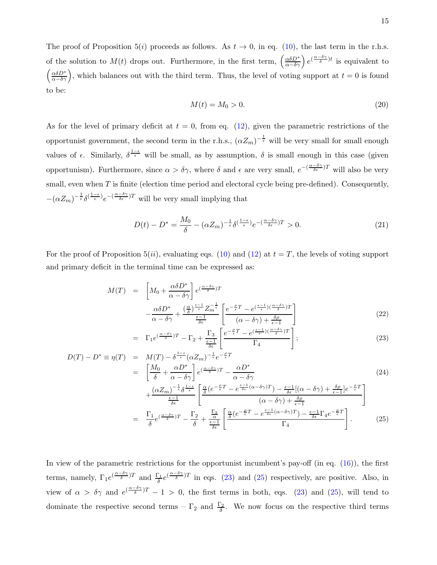The proof of Proposition 5(i) proceeds as follows. As  $t \to 0$ , in eq. [\(10\)](#page-11-0), the last term in the r.h.s. of the solution to  $M(t)$  drops out. Furthermore, in the first term,  $\left(\frac{\alpha \delta D^*}{\alpha - \delta \gamma}\right) e^{(\frac{\alpha - \delta \gamma}{\delta})t}$  is equivalent to  $\left(\frac{\alpha\delta D^*}{\alpha-\delta\gamma}\right)$ , which balances out with the third term. Thus, the level of voting support at  $t=0$  is found to be:

$$
M(t) = M_0 > 0.
$$
\n(20)

As for the level of primary deficit at  $t = 0$ , from eq. [\(12\)](#page-11-0), given the parametric restrictions of the opportunist government, the second term in the r.h.s.,  $(\alpha Z_m)^{-\frac{1}{\epsilon}}$  will be very small for small enough values of  $\epsilon$ . Similarly,  $\delta^{\frac{1-\epsilon}{\epsilon}}$  will be small, as by assumption,  $\delta$  is small enough in this case (given opportunism). Furthermore, since  $\alpha > \delta \gamma$ , where  $\delta$  and  $\epsilon$  are very small,  $e^{-(\frac{\alpha-\delta\gamma}{\delta \epsilon})T}$  will also be very small, even when  $T$  is finite (election time period and electoral cycle being pre-defined). Consequently,  $-(\alpha Z_m)^{-\frac{1}{\epsilon}}\delta^{(\frac{1-\epsilon}{\epsilon})}e^{-(\frac{\alpha-\delta\gamma}{\delta\epsilon})T}$  will be very small implying that

$$
D(t) - D^* = \frac{M_0}{\delta} - (\alpha Z_m)^{-\frac{1}{\epsilon}} \delta^{\left(\frac{1-\epsilon}{\epsilon}\right)} e^{-\left(\frac{\alpha-\delta\gamma}{\delta\epsilon}\right)T} > 0. \tag{21}
$$

For the proof of Proposition 5(ii), evaluating eqs. [\(10\)](#page-11-0) and [\(12\)](#page-11-0) at  $t = T$ , the levels of voting support and primary deficit in the terminal time can be expressed as:

<span id="page-16-0"></span>
$$
M(T) = \left[ M_0 + \frac{\alpha \delta D^*}{\alpha - \delta \gamma} \right] e^{(\frac{\alpha - \delta \gamma}{\delta})T} -\frac{\alpha \delta D^*}{\alpha - \delta \gamma} + \frac{(\frac{\alpha}{\delta})^{\frac{\epsilon - 1}{\epsilon}} Z_m^{-\frac{1}{\epsilon}}}{\frac{\epsilon - 1}{\delta \epsilon}} \left[ \frac{e^{-\frac{\rho}{\epsilon}T} - e^{(\frac{\epsilon - 1}{\epsilon})(\frac{\alpha - \delta \gamma}{\delta})T}}{(\alpha - \delta \gamma) + \frac{\delta \rho}{\epsilon - 1}} \right]
$$
(22)

$$
= \Gamma_1 e^{(\frac{\alpha - \delta \gamma}{\delta})T} - \Gamma_2 + \frac{\Gamma_3}{\frac{\epsilon - 1}{\delta \epsilon}} \left[ \frac{e^{-\frac{\rho}{\epsilon}T} - e^{(\frac{\epsilon - 1}{\epsilon})(\frac{\alpha - \delta \gamma}{\delta})T}}{\Gamma_4} \right];
$$
\n
$$
T' = M(T) - \frac{\delta^{1 - \epsilon}}{\delta \epsilon} \left( \frac{Z}{\delta} \right) - \frac{1}{2} \left( -\frac{\rho}{\epsilon} T \right)
$$
\n(23)

$$
D(T) - D^* \equiv \eta(T) = M(T) - \delta^{\frac{1-\epsilon}{\epsilon}} (\alpha Z_m)^{-\frac{1}{\epsilon}} e^{-\frac{\rho}{\epsilon}T}
$$
  
\n
$$
= \left[ \frac{M_0}{\delta} + \frac{\alpha D^*}{\alpha - \delta \gamma} \right] e^{(\frac{\alpha - \delta \gamma}{\delta})T} - \frac{\alpha D^*}{\alpha - \delta \gamma}
$$
  
\n
$$
+ \frac{(\alpha Z_m)^{-\frac{1}{\epsilon}} \delta^{\frac{1-\epsilon}{\epsilon}}}{\frac{\epsilon - 1}{\delta \epsilon}} \left[ \frac{\frac{\alpha}{\delta} (e^{-\frac{\rho}{\epsilon}T} - e^{\frac{\epsilon - 1}{\delta \epsilon} (\alpha - \delta \gamma)T}) - \frac{\epsilon - 1}{\delta \epsilon} [(\alpha - \delta \gamma) + \frac{\delta \rho}{\epsilon - 1}] e^{-\frac{\rho}{\epsilon}T}}{(\alpha - \delta \gamma) + \frac{\delta \rho}{\epsilon - 1}} \right]
$$
  
\n
$$
= \frac{\Gamma_1}{\delta} e^{(\frac{\alpha - \delta \gamma}{\delta})T} - \frac{\Gamma_2}{\delta} + \frac{\frac{\Gamma_3}{\alpha}}{\frac{\epsilon - 1}{\delta \epsilon}} \left[ \frac{\frac{\alpha}{\delta} (e^{-\frac{\rho}{\epsilon}T} - e^{\frac{\epsilon - 1}{\delta \epsilon} (\alpha - \delta \gamma)T}) - \frac{\epsilon - 1}{\delta \epsilon} \Gamma_4 e^{-\frac{\rho}{\epsilon}T}}{ \Gamma_4} \right].
$$
\n(25)

In view of the parametric restrictions for the opportunist incumbent's pay-off (in eq.  $(16)$ ), the first terms, namely,  $\Gamma_1 e^{(\frac{\alpha-\delta\gamma}{\delta})T}$  and  $\frac{\Gamma_1}{\delta} e^{(\frac{\alpha-\delta\gamma}{\delta})T}$  in eqs. [\(23\)](#page-16-0) and [\(25\)](#page-16-0) respectively, are positive. Also, in view of  $\alpha > \delta \gamma$  and  $e^{(\frac{\alpha-\delta\gamma}{\delta})T} - 1 > 0$ , the first terms in both, eqs. [\(23\)](#page-16-0) and [\(25\)](#page-16-0), will tend to dominate the respective second terms –  $\Gamma_2$  and  $\frac{\Gamma_2}{\delta}$ . We now focus on the respective third terms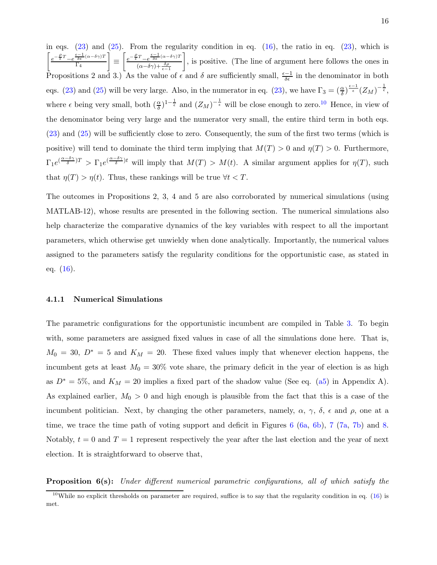in eqs.  $(23)$  and  $(25)$ . From the regularity condition in eq.  $(16)$ , the ratio in eq.  $(23)$ , which is  $\int e^{-\frac{\rho}{\epsilon}T} - e^{-\frac{\epsilon-1}{\delta\epsilon}(\alpha-\delta\gamma)T}$  $\Gamma_4$  $\equiv \left[ \frac{e^{-\frac{\rho}{\epsilon}T} - e^{\frac{\epsilon-1}{\delta\epsilon}(\alpha-\delta\gamma)T}}{(\epsilon-\delta\gamma)^{\frac{\delta\theta}{\delta}}} \right]$  $(\alpha-\delta\gamma)+\frac{\delta\rho}{\epsilon-1}$  , is positive. (The line of argument here follows the ones in Propositions 2 and 3.) As the value of  $\epsilon$  and  $\delta$  are sufficiently small,  $\frac{\epsilon-1}{\delta\epsilon}$  in the denominator in both eqs. [\(23\)](#page-16-0) and [\(25\)](#page-16-0) will be very large. Also, in the numerator in eq. (23), we have  $\Gamma_3 = \left(\frac{\alpha}{\delta}\right)^{\frac{\epsilon-1}{\epsilon}} (Z_M)^{-\frac{1}{\epsilon}},$ where  $\epsilon$  being very small, both  $(\frac{\alpha}{\delta})^{1-\frac{1}{\epsilon}}$  and  $(Z_M)^{-\frac{1}{\epsilon}}$  will be close enough to zero.<sup>[10](#page-17-0)</sup> Hence, in view of the denominator being very large and the numerator very small, the entire third term in both eqs. [\(23\)](#page-16-0) and [\(25\)](#page-16-0) will be sufficiently close to zero. Consequently, the sum of the first two terms (which is positive) will tend to dominate the third term implying that  $M(T) > 0$  and  $\eta(T) > 0$ . Furthermore,  $\Gamma_1 e^{(\frac{\alpha-\delta\gamma}{\delta})T} > \Gamma_1 e^{(\frac{\alpha-\delta\gamma}{\delta})t}$  will imply that  $M(T) > M(t)$ . A similar argument applies for  $\eta(T)$ , such that  $\eta(T) > \eta(t)$ . Thus, these rankings will be true  $\forall t < T$ .

The outcomes in Propositions 2, 3, 4 and 5 are also corroborated by numerical simulations (using MATLAB-12), whose results are presented in the following section. The numerical simulations also help characterize the comparative dynamics of the key variables with respect to all the important parameters, which otherwise get unwieldy when done analytically. Importantly, the numerical values assigned to the parameters satisfy the regularity conditions for the opportunistic case, as stated in eq.  $(16)$ .

#### <span id="page-17-1"></span>4.1.1 Numerical Simulations

The parametric configurations for the opportunistic incumbent are compiled in Table [3.](#page-38-0) To begin with, some parameters are assigned fixed values in case of all the simulations done here. That is,  $M_0 = 30, D^* = 5$  and  $K_M = 20$ . These fixed values imply that whenever election happens, the incumbent gets at least  $M_0 = 30\%$  vote share, the primary deficit in the year of election is as high as  $D^* = 5\%$ , and  $K_M = 20$  implies a fixed part of the shadow value (See eq. [\(a5\)](#page-36-2) in Appendix A). As explained earlier,  $M_0 > 0$  and high enough is plausible from the fact that this is a case of the incumbent politician. Next, by changing the other parameters, namely,  $\alpha$ ,  $\gamma$ ,  $\delta$ ,  $\epsilon$  and  $\rho$ , one at a time, we trace the time path of voting support and deficit in Figures [6](#page-39-0) [\(6a,](#page-39-1) [6b\)](#page-39-2), [7](#page-40-0) [\(7a,](#page-40-1) [7b\)](#page-40-2) and [8.](#page-41-0) Notably,  $t = 0$  and  $T = 1$  represent respectively the year after the last election and the year of next election. It is straightforward to observe that,

**Proposition 6(s):** Under different numerical parametric configurations, all of which satisfy the

<span id="page-17-0"></span><sup>&</sup>lt;sup>10</sup>While no explicit thresholds on parameter are required, suffice is to say that the regularity condition in eq.  $(16)$  is met.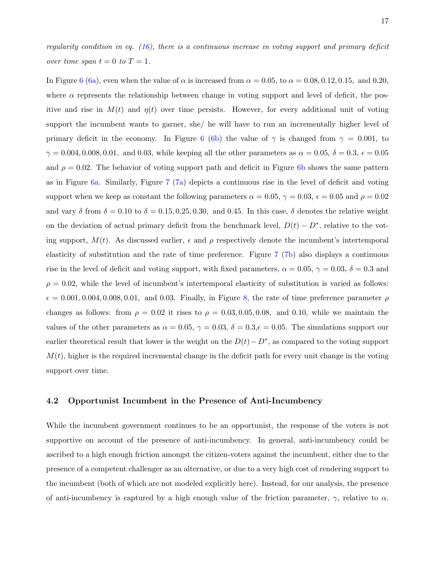regularity condition in eq.  $(16)$ , there is a continuous increase in voting support and primary deficit over time span  $t = 0$  to  $T = 1$ .

In Figure [6](#page-39-0) [\(6a\)](#page-39-1), even when the value of  $\alpha$  is increased from  $\alpha = 0.05$ , to  $\alpha = 0.08, 0.12, 0.15$ , and 0.20, where  $\alpha$  represents the relationship between change in voting support and level of deficit, the positive and rise in  $M(t)$  and  $\eta(t)$  over time persists. However, for every additional unit of voting support the incumbent wants to garner, she/ he will have to run an incrementally higher level of primary deficit in the economy. In Figure [6](#page-39-0) [\(6b\)](#page-39-2) the value of  $\gamma$  is changed from  $\gamma = 0.001$ , to  $\gamma = 0.004, 0.008, 0.01, \text{ and } 0.03, \text{ while keeping all the other parameters as } \alpha = 0.05, \delta = 0.3, \epsilon = 0.05$ and  $\rho = 0.02$ . The behavior of voting support path and deficit in Figure [6b](#page-39-2) shows the same pattern as in Figure [6a.](#page-39-1) Similarly, Figure [7](#page-40-0) [\(7a\)](#page-40-1) depicts a continuous rise in the level of deficit and voting support when we keep as constant the following parameters  $\alpha = 0.05$ ,  $\gamma = 0.03$ ,  $\epsilon = 0.05$  and  $\rho = 0.02$ and vary  $\delta$  from  $\delta = 0.10$  to  $\delta = 0.15, 0.25, 0.30$ , and 0.45. In this case,  $\delta$  denotes the relative weight on the deviation of actual primary deficit from the benchmark level,  $D(t) - D^*$ , relative to the voting support,  $M(t)$ . As discussed earlier,  $\epsilon$  and  $\rho$  respectively denote the incumbent's intertemporal elasticity of substitution and the rate of time preference. Figure [7](#page-40-0) [\(7b\)](#page-40-2) also displays a continuous rise in the level of deficit and voting support, with fixed parameters,  $\alpha = 0.05$ ,  $\gamma = 0.03$ ,  $\delta = 0.3$  and  $\rho = 0.02$ , while the level of incumbent's intertemporal elasticity of substitution is varied as follows:  $\epsilon = 0.001, 0.004, 0.008, 0.01$  $\epsilon = 0.001, 0.004, 0.008, 0.01$  $\epsilon = 0.001, 0.004, 0.008, 0.01$ , and 0.03. Finally, in Figure 8, the rate of time preference parameter  $\rho$ changes as follows: from  $\rho = 0.02$  it rises to  $\rho = 0.03, 0.05, 0.08,$  and 0.10, while we maintain the values of the other parameters as  $\alpha = 0.05$ ,  $\gamma = 0.03$ ,  $\delta = 0.3$ ,  $\epsilon = 0.05$ . The simulations support our earlier theoretical result that lower is the weight on the  $D(t) - D^*$ , as compared to the voting support  $M(t)$ , higher is the required incremental change in the deficit path for every unit change in the voting support over time.

#### 4.2 Opportunist Incumbent in the Presence of Anti-Incumbency

While the incumbent government continues to be an opportunist, the response of the voters is not supportive on account of the presence of anti-incumbency. In general, anti-incumbency could be ascribed to a high enough friction amongst the citizen-voters against the incumbent, either due to the presence of a competent challenger as an alternative, or due to a very high cost of rendering support to the incumbent (both of which are not modeled explicitly here). Instead, for our analysis, the presence of anti-incumbency is captured by a high enough value of the friction parameter,  $\gamma$ , relative to  $\alpha$ .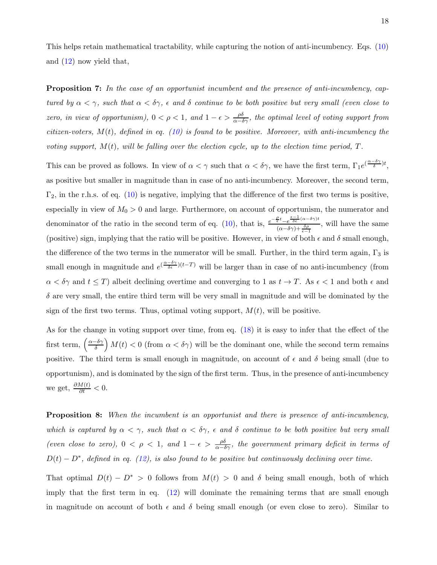This helps retain mathematical tractability, while capturing the notion of anti-incumbency. Eqs. [\(10\)](#page-11-0) and [\(12\)](#page-11-0) now yield that,

**Proposition 7:** In the case of an opportunist incumbent and the presence of anti-incumbency, captured by  $\alpha < \gamma$ , such that  $\alpha < \delta \gamma$ ,  $\epsilon$  and  $\delta$  continue to be both positive but very small (even close to zero, in view of opportunism),  $0 < \rho < 1$ , and  $1 - \epsilon > \frac{\rho \delta}{\alpha - \delta \gamma}$ , the optimal level of voting support from citizen-voters,  $M(t)$ , defined in eq. [\(10\)](#page-11-0) is found to be positive. Moreover, with anti-incumbency the voting support,  $M(t)$ , will be falling over the election cycle, up to the election time period,  $T$ .

This can be proved as follows. In view of  $\alpha < \gamma$  such that  $\alpha < \delta \gamma$ , we have the first term,  $\Gamma_1 e^{(\frac{\alpha-\delta \gamma}{\delta})t}$ , as positive but smaller in magnitude than in case of no anti-incumbency. Moreover, the second term,  $\Gamma_2$ , in the r.h.s. of eq. [\(10\)](#page-11-0) is negative, implying that the difference of the first two terms is positive, especially in view of  $M_0 > 0$  and large. Furthermore, on account of opportunism, the numerator and denominator of the ratio in the second term of eq. [\(10\)](#page-11-0), that is,  $e^{-\frac{\mathcal{E}t}{\epsilon} - e^{-\frac{\mathcal{E}-1}{\delta(\alpha-\delta\gamma)t}}}$  $\frac{\epsilon^2 - e^{-\delta \epsilon}}{(\alpha - \delta \gamma) + \frac{\delta \rho}{\epsilon - 1}}$ , will have the same (positive) sign, implying that the ratio will be positive. However, in view of both  $\epsilon$  and  $\delta$  small enough, the difference of the two terms in the numerator will be small. Further, in the third term again,  $\Gamma_3$  is small enough in magnitude and  $e^{(\frac{\alpha-\delta\gamma}{\delta\epsilon})(t-T)}$  will be larger than in case of no anti-incumbency (from  $\alpha < \delta \gamma$  and  $t \leq T$ ) albeit declining overtime and converging to 1 as  $t \to T$ . As  $\epsilon < 1$  and both  $\epsilon$  and  $\delta$  are very small, the entire third term will be very small in magnitude and will be dominated by the sign of the first two terms. Thus, optimal voting support,  $M(t)$ , will be positive.

As for the change in voting support over time, from eq. [\(18\)](#page-15-0) it is easy to infer that the effect of the first term,  $\left(\frac{\alpha-\delta\gamma}{\delta}\right)$  $\left(\frac{\delta \gamma}{\delta}\right) M(t) < 0$  (from  $\alpha < \delta \gamma$ ) will be the dominant one, while the second term remains positive. The third term is small enough in magnitude, on account of  $\epsilon$  and  $\delta$  being small (due to opportunism), and is dominated by the sign of the first term. Thus, in the presence of anti-incumbency we get,  $\frac{\partial M(t)}{\partial t} < 0$ .

**Proposition 8:** When the incumbent is an opportunist and there is presence of anti-incumbency, which is captured by  $\alpha < \gamma$ , such that  $\alpha < \delta \gamma$ ,  $\epsilon$  and  $\delta$  continue to be both positive but very small (even close to zero),  $0 < \rho < 1$ , and  $1 - \epsilon > \frac{\rho \delta}{\alpha - \delta \gamma}$ , the government primary deficit in terms of  $D(t) - D^*$ , defined in eq. [\(12\)](#page-11-0), is also found to be positive but continuously declining over time.

That optimal  $D(t) - D^* > 0$  follows from  $M(t) > 0$  and  $\delta$  being small enough, both of which imply that the first term in eq. [\(12\)](#page-11-0) will dominate the remaining terms that are small enough in magnitude on account of both  $\epsilon$  and  $\delta$  being small enough (or even close to zero). Similar to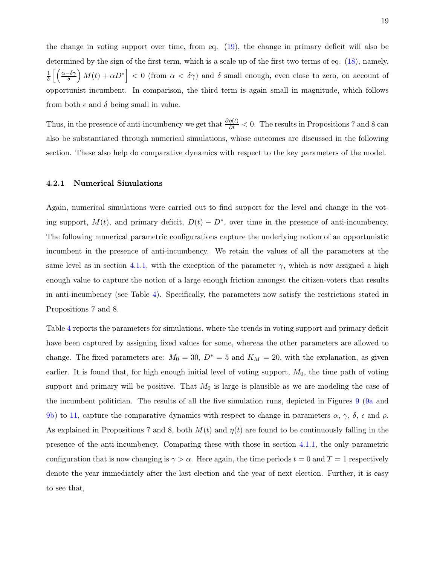the change in voting support over time, from eq. [\(19\)](#page-15-1), the change in primary deficit will also be determined by the sign of the first term, which is a scale up of the first two terms of eq. [\(18\)](#page-15-0), namely,  $\frac{1}{\delta}\left[\left(\frac{\alpha-\delta\gamma}{\delta}\right)M(t)+\alpha D^*\right]<0$  (from  $\alpha<\delta\gamma$ ) and  $\delta$  small enough, even close to zero, on account of opportunist incumbent. In comparison, the third term is again small in magnitude, which follows from both  $\epsilon$  and  $\delta$  being small in value.

Thus, in the presence of anti-incumbency we get that  $\frac{\partial \eta(t)}{\partial t} < 0$ . The results in Propositions 7 and 8 can also be substantiated through numerical simulations, whose outcomes are discussed in the following section. These also help do comparative dynamics with respect to the key parameters of the model.

#### 4.2.1 Numerical Simulations

Again, numerical simulations were carried out to find support for the level and change in the voting support,  $M(t)$ , and primary deficit,  $D(t) - D^*$ , over time in the presence of anti-incumbency. The following numerical parametric configurations capture the underlying notion of an opportunistic incumbent in the presence of anti-incumbency. We retain the values of all the parameters at the same level as in section [4.1.1,](#page-17-1) with the exception of the parameter  $\gamma$ , which is now assigned a high enough value to capture the notion of a large enough friction amongst the citizen-voters that results in anti-incumbency (see Table [4\)](#page-41-1). Specifically, the parameters now satisfy the restrictions stated in Propositions 7 and 8.

Table [4](#page-41-1) reports the parameters for simulations, where the trends in voting support and primary deficit have been captured by assigning fixed values for some, whereas the other parameters are allowed to change. The fixed parameters are:  $M_0 = 30, D^* = 5$  and  $K_M = 20$ , with the explanation, as given earlier. It is found that, for high enough initial level of voting support,  $M_0$ , the time path of voting support and primary will be positive. That  $M_0$  is large is plausible as we are modeling the case of the incumbent politician. The results of all the five simulation runs, depicted in Figures [9](#page-42-0) [\(9a](#page-42-1) and [9b\)](#page-42-2) to [11,](#page-44-0) capture the comparative dynamics with respect to change in parameters  $\alpha$ ,  $\gamma$ ,  $\delta$ ,  $\epsilon$  and  $\rho$ . As explained in Propositions 7 and 8, both  $M(t)$  and  $\eta(t)$  are found to be continuously falling in the presence of the anti-incumbency. Comparing these with those in section [4.1.1,](#page-17-1) the only parametric configuration that is now changing is  $\gamma > \alpha$ . Here again, the time periods  $t = 0$  and  $T = 1$  respectively denote the year immediately after the last election and the year of next election. Further, it is easy to see that,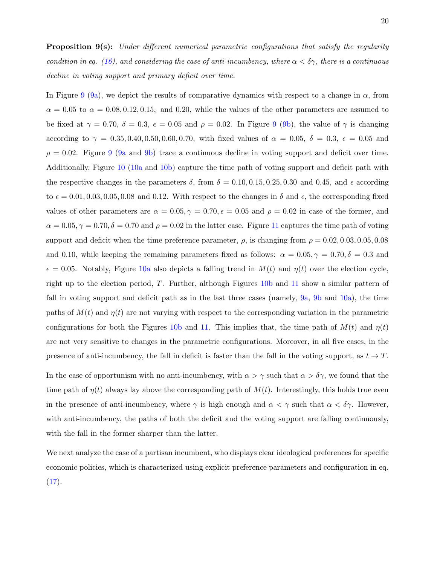In Figure [9](#page-42-0) [\(9a\)](#page-42-1), we depict the results of comparative dynamics with respect to a change in  $\alpha$ , from  $\alpha = 0.05$  to  $\alpha = 0.08, 0.12, 0.15,$  and 0.20, while the values of the other parameters are assumed to be fixed at  $\gamma = 0.70$ ,  $\delta = 0.3$ ,  $\epsilon = 0.05$  and  $\rho = 0.02$ . In Figure [9](#page-42-0) [\(9b\)](#page-42-2), the value of  $\gamma$  is changing according to  $\gamma = 0.35, 0.40, 0.50, 0.60, 0.70$ , with fixed values of  $\alpha = 0.05$ ,  $\delta = 0.3$ ,  $\epsilon = 0.05$  and  $\rho = 0.02$ . Figure [9](#page-42-0) [\(9a](#page-42-1) and [9b\)](#page-42-2) trace a continuous decline in voting support and deficit over time. Additionally, Figure [10](#page-43-0) [\(10a](#page-43-1) and [10b\)](#page-43-2) capture the time path of voting support and deficit path with the respective changes in the parameters  $\delta$ , from  $\delta = 0.10, 0.15, 0.25, 0.30$  and 0.45, and  $\epsilon$  according to  $\epsilon = 0.01, 0.03, 0.05, 0.08$  and 0.12. With respect to the changes in  $\delta$  and  $\epsilon$ , the corresponding fixed values of other parameters are  $\alpha = 0.05, \gamma = 0.70, \epsilon = 0.05$  and  $\rho = 0.02$  in case of the former, and  $\alpha = 0.05, \gamma = 0.70, \delta = 0.70$  and  $\rho = 0.02$  in the latter case. Figure [11](#page-44-0) captures the time path of voting support and deficit when the time preference parameter,  $\rho$ , is changing from  $\rho = 0.02, 0.03, 0.05, 0.08$ and 0.10, while keeping the remaining parameters fixed as follows:  $\alpha = 0.05, \gamma = 0.70, \delta = 0.3$  and  $\epsilon = 0.05$ . Notably, Figure [10a](#page-43-1) also depicts a falling trend in  $M(t)$  and  $\eta(t)$  over the election cycle, right up to the election period, T. Further, although Figures [10b](#page-43-2) and [11](#page-44-0) show a similar pattern of fall in voting support and deficit path as in the last three cases (namely, [9a,](#page-42-1) [9b](#page-42-2) and [10a\)](#page-43-1), the time paths of  $M(t)$  and  $\eta(t)$  are not varying with respect to the corresponding variation in the parametric configurations for both the Figures [10b](#page-43-2) and [11.](#page-44-0) This implies that, the time path of  $M(t)$  and  $\eta(t)$ are not very sensitive to changes in the parametric configurations. Moreover, in all five cases, in the presence of anti-incumbency, the fall in deficit is faster than the fall in the voting support, as  $t \to T$ .

In the case of opportunism with no anti-incumbency, with  $\alpha > \gamma$  such that  $\alpha > \delta \gamma$ , we found that the time path of  $\eta(t)$  always lay above the corresponding path of  $M(t)$ . Interestingly, this holds true even in the presence of anti-incumbency, where  $\gamma$  is high enough and  $\alpha < \gamma$  such that  $\alpha < \delta \gamma$ . However, with anti-incumbency, the paths of both the deficit and the voting support are falling continuously, with the fall in the former sharper than the latter.

We next analyze the case of a partisan incumbent, who displays clear ideological preferences for specific economic policies, which is characterized using explicit preference parameters and configuration in eq.  $(17).$  $(17).$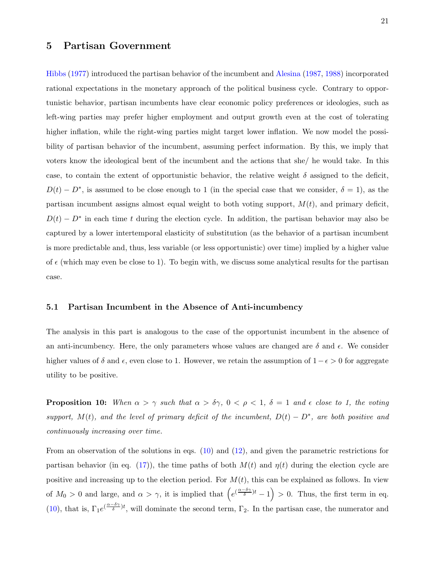# <span id="page-22-0"></span>5 Partisan Government

Hibbs [\(1977\)](#page-28-4) introduced the partisan behavior of the incumbent and [Alesina](#page-27-5) [\(1987,](#page-27-5) [1988](#page-27-7)) incorporated rational expectations in the monetary approach of the political business cycle. Contrary to opportunistic behavior, partisan incumbents have clear economic policy preferences or ideologies, such as left-wing parties may prefer higher employment and output growth even at the cost of tolerating higher inflation, while the right-wing parties might target lower inflation. We now model the possibility of partisan behavior of the incumbent, assuming perfect information. By this, we imply that voters know the ideological bent of the incumbent and the actions that she/ he would take. In this case, to contain the extent of opportunistic behavior, the relative weight  $\delta$  assigned to the deficit,  $D(t) - D^*$ , is assumed to be close enough to 1 (in the special case that we consider,  $\delta = 1$ ), as the partisan incumbent assigns almost equal weight to both voting support,  $M(t)$ , and primary deficit,  $D(t) - D^*$  in each time t during the election cycle. In addition, the partisan behavior may also be captured by a lower intertemporal elasticity of substitution (as the behavior of a partisan incumbent is more predictable and, thus, less variable (or less opportunistic) over time) implied by a higher value of  $\epsilon$  (which may even be close to 1). To begin with, we discuss some analytical results for the partisan case.

#### 5.1 Partisan Incumbent in the Absence of Anti-incumbency

The analysis in this part is analogous to the case of the opportunist incumbent in the absence of an anti-incumbency. Here, the only parameters whose values are changed are  $\delta$  and  $\epsilon$ . We consider higher values of  $\delta$  and  $\epsilon$ , even close to 1. However, we retain the assumption of  $1-\epsilon > 0$  for aggregate utility to be positive.

**Proposition 10:** When  $\alpha > \gamma$  such that  $\alpha > \delta \gamma$ ,  $0 < \rho < 1$ ,  $\delta = 1$  and  $\epsilon$  close to 1, the voting support,  $M(t)$ , and the level of primary deficit of the incumbent,  $D(t) - D^*$ , are both positive and continuously increasing over time.

From an observation of the solutions in eqs. [\(10\)](#page-11-0) and [\(12\)](#page-11-0), and given the parametric restrictions for partisan behavior (in eq. [\(17\)](#page-12-1)), the time paths of both  $M(t)$  and  $\eta(t)$  during the election cycle are positive and increasing up to the election period. For  $M(t)$ , this can be explained as follows. In view of  $M_0 > 0$  and large, and  $\alpha > \gamma$ , it is implied that  $(e^{(\frac{\alpha-\delta\gamma}{\delta})t}-1) > 0$ . Thus, the first term in eq. [\(10\)](#page-11-0), that is,  $\Gamma_1 e^{(\frac{\alpha-\delta\gamma}{\delta})t}$ , will dominate the second term,  $\Gamma_2$ . In the partisan case, the numerator and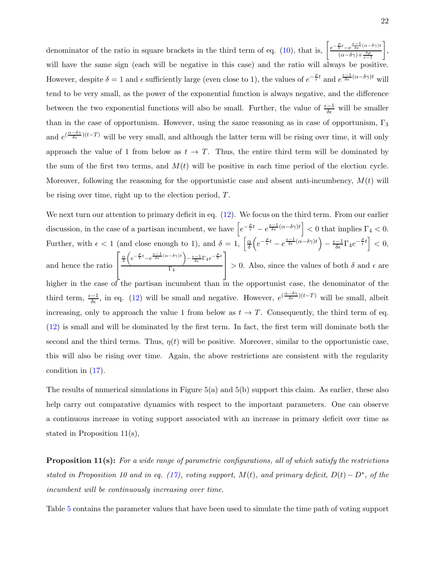denominator of the ratio in square brackets in the third term of eq. [\(10\)](#page-11-0), that is,  $\left[\frac{e^{-\frac{\mathcal{E}}{\epsilon}t}-e^{-\frac{\mathcal{E}-1}{\delta\epsilon}}(\alpha-\delta\gamma)t}{\delta\epsilon}\right]$  $(\alpha-\delta\gamma)+\frac{\delta\rho}{\epsilon-1}$  , will have the same sign (each will be negative in this case) and the ratio will always be positive. However, despite  $\delta = 1$  and  $\epsilon$  sufficiently large (even close to 1), the values of  $e^{-\frac{\rho}{\epsilon}t}$  and  $e^{\frac{\epsilon-1}{\delta\epsilon}(\alpha-\delta\gamma)t}$  will tend to be very small, as the power of the exponential function is always negative, and the difference between the two exponential functions will also be small. Further, the value of  $\frac{\epsilon-1}{\delta\epsilon}$  will be smaller than in the case of opportunism. However, using the same reasoning as in case of opportunism,  $\Gamma_3$ and  $e^{(\frac{\alpha-\delta\gamma}{\delta\epsilon})(t-T)}$  will be very small, and although the latter term will be rising over time, it will only approach the value of 1 from below as  $t \to T$ . Thus, the entire third term will be dominated by the sum of the first two terms, and  $M(t)$  will be positive in each time period of the election cycle. Moreover, following the reasoning for the opportunistic case and absent anti-incumbency,  $M(t)$  will be rising over time, right up to the election period, T.

We next turn our attention to primary deficit in eq.  $(12)$ . We focus on the third term. From our earlier discussion, in the case of a partisan incumbent, we have  $\left[e^{-\frac{\rho}{\epsilon}t} - e^{-\frac{\epsilon-1}{\delta\epsilon}(\alpha-\delta\gamma)t}\right] < 0$  that implies  $\Gamma_4 < 0$ . Further, with  $\epsilon < 1$  (and close enough to 1), and  $\delta = 1$ ,  $\frac{\alpha}{\delta}$  $\frac{\alpha}{\delta}\Bigl(e^{-\frac{\rho}{\epsilon}t}-e^{\frac{\epsilon-1}{\delta\epsilon}(\alpha-\delta\gamma)t}\Bigr)-\frac{\epsilon-1}{\delta\epsilon}\Gamma_4e^{-\frac{\rho}{\epsilon}t}\Bigr]<0,$ and hence the ratio  $\sqrt{ }$  $\overline{1}$ α δ  $\left(e^{-\frac{\rho}{\epsilon}t}-e^{\frac{\epsilon-1}{\delta\epsilon}(\alpha-\delta\gamma)t}\right)-\frac{\epsilon-1}{\delta\epsilon}\Gamma_4e^{-\frac{\rho}{\epsilon}t}$  $\Gamma_4$ 1  $> 0$ . Also, since the values of both  $\delta$  and  $\epsilon$  are higher in the case of the partisan incumbent than in the opportunist case, the denominator of the third term,  $\frac{\epsilon-1}{\delta\epsilon}$ , in eq. [\(12\)](#page-11-0) will be small and negative. However,  $e^{(\frac{\alpha-\delta\gamma}{\delta\epsilon})(t-T)}$  will be small, albeit increasing, only to approach the value 1 from below as  $t \to T$ . Consequently, the third term of eq. [\(12\)](#page-11-0) is small and will be dominated by the first term. In fact, the first term will dominate both the second and the third terms. Thus,  $\eta(t)$  will be positive. Moreover, similar to the opportunistic case, this will also be rising over time. Again, the above restrictions are consistent with the regularity condition in [\(17\)](#page-12-1).

The results of numerical simulations in Figure 5(a) and 5(b) support this claim. As earlier, these also help carry out comparative dynamics with respect to the important parameters. One can observe a continuous increase in voting support associated with an increase in primary deficit over time as stated in Proposition 11(s),

**Proposition 11(s):** For a wide range of parametric configurations, all of which satisfy the restrictions stated in Proposition 10 and in eq. [\(17\)](#page-12-1), voting support,  $M(t)$ , and primary deficit,  $D(t) - D^*$ , of the incumbent will be continuously increasing over time.

Table [5](#page-44-1) contains the parameter values that have been used to simulate the time path of voting support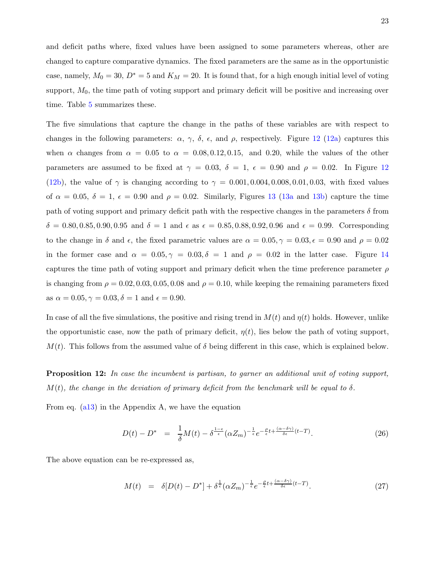and deficit paths where, fixed values have been assigned to some parameters whereas, other are changed to capture comparative dynamics. The fixed parameters are the same as in the opportunistic case, namely,  $M_0 = 30$ ,  $D^* = 5$  and  $K_M = 20$ . It is found that, for a high enough initial level of voting support,  $M_0$ , the time path of voting support and primary deficit will be positive and increasing over time. Table [5](#page-44-1) summarizes these.

The five simulations that capture the change in the paths of these variables are with respect to changes in the following parameters:  $\alpha$ ,  $\gamma$ ,  $\delta$ ,  $\epsilon$ , and  $\rho$ , respectively. Figure [12](#page-45-0) [\(12a\)](#page-45-1) captures this when  $\alpha$  changes from  $\alpha = 0.05$  to  $\alpha = 0.08, 0.12, 0.15$ , and 0.20, while the values of the other parameters are assumed to be fixed at  $\gamma = 0.03$ ,  $\delta = 1$ ,  $\epsilon = 0.90$  and  $\rho = 0.02$ . In Figure [12](#page-45-0) [\(12b\)](#page-45-2), the value of  $\gamma$  is changing according to  $\gamma = 0.001, 0.004, 0.008, 0.01, 0.03$ , with fixed values of  $\alpha = 0.05$ ,  $\delta = 1$ ,  $\epsilon = 0.90$  and  $\rho = 0.02$ . Similarly, Figures [13](#page-46-0) [\(13a](#page-46-1) and [13b\)](#page-46-2) capture the time path of voting support and primary deficit path with the respective changes in the parameters  $\delta$  from  $\delta = 0.80, 0.85, 0.90, 0.95$  and  $\delta = 1$  and  $\epsilon$  as  $\epsilon = 0.85, 0.88, 0.92, 0.96$  and  $\epsilon = 0.99$ . Corresponding to the change in  $\delta$  and  $\epsilon$ , the fixed parametric values are  $\alpha = 0.05, \gamma = 0.03, \epsilon = 0.90$  and  $\rho = 0.02$ in the former case and  $\alpha = 0.05, \gamma = 0.03, \delta = 1$  and  $\rho = 0.02$  in the latter case. Figure [14](#page-47-0) captures the time path of voting support and primary deficit when the time preference parameter  $\rho$ is changing from  $\rho = 0.02, 0.03, 0.05, 0.08$  and  $\rho = 0.10$ , while keeping the remaining parameters fixed as  $\alpha = 0.05, \gamma = 0.03, \delta = 1$  and  $\epsilon = 0.90$ .

In case of all the five simulations, the positive and rising trend in  $M(t)$  and  $\eta(t)$  holds. However, unlike the opportunistic case, now the path of primary deficit,  $\eta(t)$ , lies below the path of voting support,  $M(t)$ . This follows from the assumed value of  $\delta$  being different in this case, which is explained below.

**Proposition 12:** In case the incumbent is partisan, to garner an additional unit of voting support,  $M(t)$ , the change in the deviation of primary deficit from the benchmark will be equal to  $\delta$ .

From eq. [\(a13\)](#page-37-0) in the Appendix A, we have the equation

$$
D(t) - D^* = \frac{1}{\delta}M(t) - \delta^{\frac{1-\epsilon}{\epsilon}}(\alpha Z_m)^{-\frac{1}{\epsilon}}e^{-\frac{\rho}{\epsilon}t + \frac{(\alpha-\delta\gamma)}{\delta\epsilon}(t-T)}.
$$
 (26)

The above equation can be re-expressed as,

$$
M(t) = \delta[D(t) - D^*] + \delta^{\frac{1}{\epsilon}}(\alpha Z_m)^{-\frac{1}{\epsilon}} e^{-\frac{\rho}{\epsilon}t + \frac{(\alpha - \delta \gamma)}{\delta \epsilon}(t - T)}.
$$
 (27)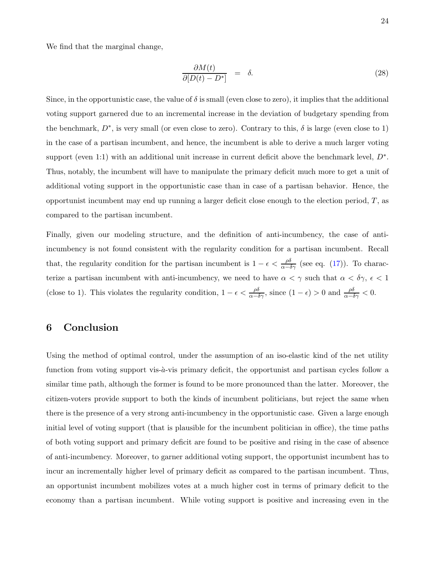We find that the marginal change,

$$
\frac{\partial M(t)}{\partial [D(t) - D^*]} = \delta. \tag{28}
$$

Since, in the opportunistic case, the value of  $\delta$  is small (even close to zero), it implies that the additional voting support garnered due to an incremental increase in the deviation of budgetary spending from the benchmark,  $D^*$ , is very small (or even close to zero). Contrary to this,  $\delta$  is large (even close to 1) in the case of a partisan incumbent, and hence, the incumbent is able to derive a much larger voting support (even 1:1) with an additional unit increase in current deficit above the benchmark level,  $D^*$ . Thus, notably, the incumbent will have to manipulate the primary deficit much more to get a unit of additional voting support in the opportunistic case than in case of a partisan behavior. Hence, the opportunist incumbent may end up running a larger deficit close enough to the election period,  $T$ , as compared to the partisan incumbent.

Finally, given our modeling structure, and the definition of anti-incumbency, the case of antiincumbency is not found consistent with the regularity condition for a partisan incumbent. Recall that, the regularity condition for the partisan incumbent is  $1 - \epsilon < \frac{\rho \delta}{\alpha - \delta \gamma}$  (see eq. [\(17\)](#page-12-1)). To characterize a partisan incumbent with anti-incumbency, we need to have  $\alpha < \gamma$  such that  $\alpha < \delta \gamma$ ,  $\epsilon < 1$ (close to 1). This violates the regularity condition,  $1 - \epsilon < \frac{\rho \delta}{\alpha - \delta \gamma}$ , since  $(1 - \epsilon) > 0$  and  $\frac{\rho \delta}{\alpha - \delta \gamma} < 0$ .

# <span id="page-25-0"></span>6 Conclusion

Using the method of optimal control, under the assumption of an iso-elastic kind of the net utility function from voting support vis- $\dot{a}$ -vis primary deficit, the opportunist and partisan cycles follow a similar time path, although the former is found to be more pronounced than the latter. Moreover, the citizen-voters provide support to both the kinds of incumbent politicians, but reject the same when there is the presence of a very strong anti-incumbency in the opportunistic case. Given a large enough initial level of voting support (that is plausible for the incumbent politician in office), the time paths of both voting support and primary deficit are found to be positive and rising in the case of absence of anti-incumbency. Moreover, to garner additional voting support, the opportunist incumbent has to incur an incrementally higher level of primary deficit as compared to the partisan incumbent. Thus, an opportunist incumbent mobilizes votes at a much higher cost in terms of primary deficit to the economy than a partisan incumbent. While voting support is positive and increasing even in the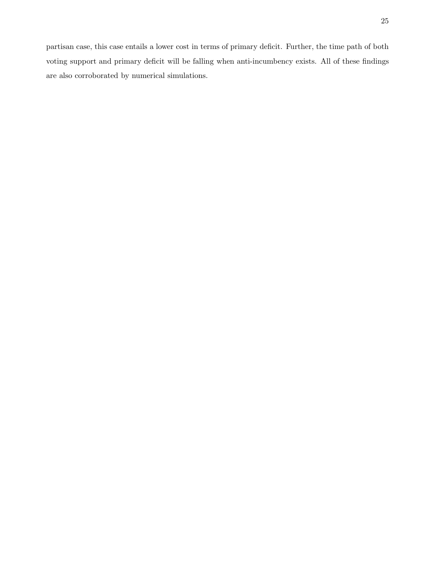partisan case, this case entails a lower cost in terms of primary deficit. Further, the time path of both voting support and primary deficit will be falling when anti-incumbency exists. All of these findings are also corroborated by numerical simulations.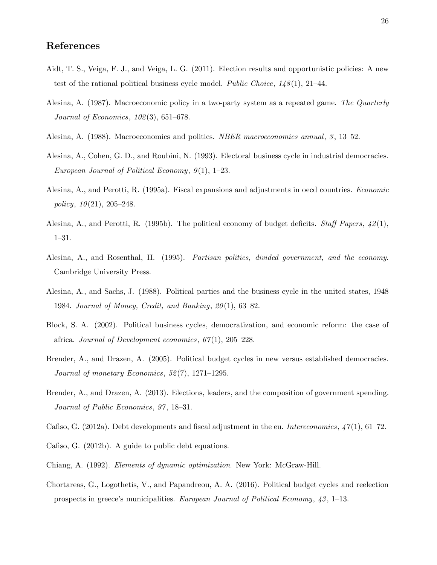# References

- <span id="page-27-11"></span>Aidt, T. S., Veiga, F. J., and Veiga, L. G. (2011). Election results and opportunistic policies: A new test of the rational political business cycle model. *Public Choice*,  $148(1)$ ,  $21-44$ .
- <span id="page-27-5"></span>Alesina, A. (1987). Macroeconomic policy in a two-party system as a repeated game. The Quarterly Journal of Economics, 102(3), 651–678.
- <span id="page-27-7"></span>Alesina, A. (1988). Macroeconomics and politics. *NBER macroeconomics annual*, 3, 13–52.
- <span id="page-27-8"></span>Alesina, A., Cohen, G. D., and Roubini, N. (1993). Electoral business cycle in industrial democracies. European Journal of Political Economy, 9(1), 1–23.
- <span id="page-27-10"></span>Alesina, A., and Perotti, R. (1995a). Fiscal expansions and adjustments in oecd countries. *Economic* policy,  $10(21)$ ,  $205-248$ .
- <span id="page-27-0"></span>Alesina, A., and Perotti, R. (1995b). The political economy of budget deficits. *Staff Papers*,  $42(1)$ , 1–31.
- <span id="page-27-9"></span>Alesina, A., and Rosenthal, H. (1995). *Partisan politics, divided government, and the economy*. Cambridge University Press.
- <span id="page-27-6"></span>Alesina, A., and Sachs, J. (1988). Political parties and the business cycle in the united states, 1948 1984. Journal of Money, Credit, and Banking, 20(1), 63–82.
- <span id="page-27-3"></span>Block, S. A. (2002). Political business cycles, democratization, and economic reform: the case of africa. Journal of Development economics, 67(1), 205–228.
- <span id="page-27-4"></span>Brender, A., and Drazen, A. (2005). Political budget cycles in new versus established democracies. Journal of monetary Economics, 52(7), 1271–1295.
- <span id="page-27-13"></span>Brender, A., and Drazen, A. (2013). Elections, leaders, and the composition of government spending. Journal of Public Economics, 97, 18–31.
- <span id="page-27-1"></span>Cafiso, G. (2012a). Debt developments and fiscal adjustment in the eu. Intereconomics,  $\frac{47(1)}{61-72}$ .
- <span id="page-27-2"></span>Cafiso, G. (2012b). A guide to public debt equations.
- <span id="page-27-14"></span>Chiang, A. (1992). Elements of dynamic optimization. New York: McGraw-Hill.
- <span id="page-27-12"></span>Chortareas, G., Logothetis, V., and Papandreou, A. A. (2016). Political budget cycles and reelection prospects in greece's municipalities. European Journal of Political Economy, 43, 1–13.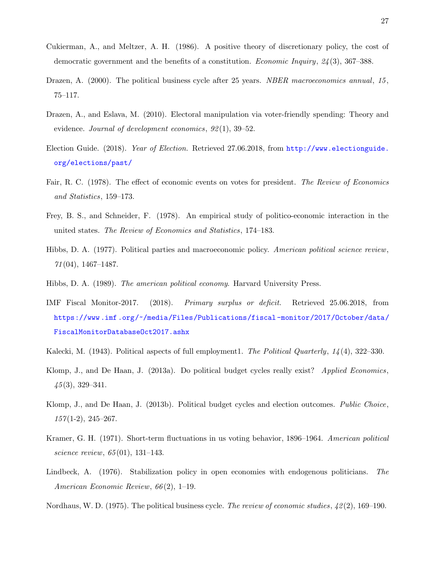- <span id="page-28-7"></span>Cukierman, A., and Meltzer, A. H. (1986). A positive theory of discretionary policy, the cost of democratic government and the benefits of a constitution. Economic Inquiry, 24(3), 367–388.
- <span id="page-28-11"></span>Drazen, A. (2000). The political business cycle after 25 years. NBER macroeconomics annual, 15, 75–117.
- <span id="page-28-14"></span>Drazen, A., and Eslava, M. (2010). Electoral manipulation via voter-friendly spending: Theory and evidence. Journal of development economics,  $92(1)$ , 39-52.
- <span id="page-28-1"></span>Election Guide. (2018). Year of Election. Retrieved 27.06.2018, from [http://www.electionguide.](http://www.electionguide.org/elections/past/) [org/elections/past/](http://www.electionguide.org/elections/past/)
- <span id="page-28-6"></span>Fair, R. C. (1978). The effect of economic events on votes for president. The Review of Economics and Statistics, 159–173.
- <span id="page-28-10"></span>Frey, B. S., and Schneider, F. (1978). An empirical study of politico-economic interaction in the united states. The Review of Economics and Statistics, 174–183.
- <span id="page-28-4"></span>Hibbs, D. A. (1977). Political parties and macroeconomic policy. American political science review, 71(04), 1467–1487.
- <span id="page-28-9"></span>Hibbs, D. A. (1989). The american political economy. Harvard University Press.
- <span id="page-28-0"></span>IMF Fiscal Monitor-2017. (2018). Primary surplus or deficit. Retrieved 25.06.2018, from [https://www .imf .org/~/media/Files/Publications/fiscal -monitor/2017/October/data/](https://www.imf.org/~/media/Files/Publications/fiscal-monitor/2017/October/data/FiscalMonitorDatabaseOct2017.ashx) [FiscalMonitorDatabaseOct2017.ashx](https://www.imf.org/~/media/Files/Publications/fiscal-monitor/2017/October/data/FiscalMonitorDatabaseOct2017.ashx)
- <span id="page-28-2"></span>Kalecki, M. (1943). Political aspects of full employment1. The Political Quarterly, 14(4), 322–330.
- <span id="page-28-12"></span>Klomp, J., and De Haan, J. (2013a). Do political budget cycles really exist? Applied Economics, 45(3), 329–341.
- <span id="page-28-13"></span>Klomp, J., and De Haan, J. (2013b). Political budget cycles and election outcomes. Public Choice,  $157(1-2), 245-267.$
- <span id="page-28-5"></span>Kramer, G. H. (1971). Short-term fluctuations in us voting behavior, 1896–1964. American political science review, 65(01), 131–143.
- <span id="page-28-8"></span>Lindbeck, A. (1976). Stabilization policy in open economies with endogenous politicians. The American Economic Review, 66(2), 1–19.
- <span id="page-28-3"></span>Nordhaus, W. D. (1975). The political business cycle. The review of economic studies,  $\frac{1}{2}(2)$ , 169–190.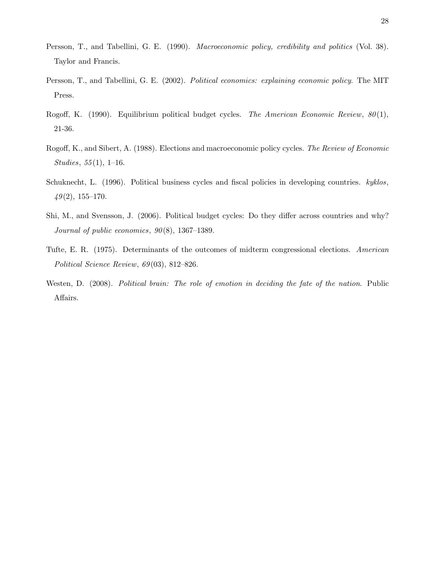- <span id="page-29-6"></span>Persson, T., and Tabellini, G. E. (1990). Macroeconomic policy, credibility and politics (Vol. 38). Taylor and Francis.
- <span id="page-29-7"></span>Persson, T., and Tabellini, G. E. (2002). *Political economics: explaining economic policy*. The MIT Press.
- <span id="page-29-5"></span>Rogoff, K. (1990). Equilibrium political budget cycles. The American Economic Review, 80(1), 21-36.
- <span id="page-29-4"></span>Rogoff, K., and Sibert, A. (1988). Elections and macroeconomic policy cycles. The Review of Economic Studies, 55(1), 1–16.
- <span id="page-29-1"></span>Schuknecht, L. (1996). Political business cycles and fiscal policies in developing countries. kyklos,  $49(2)$ , 155–170.
- <span id="page-29-2"></span>Shi, M., and Svensson, J. (2006). Political budget cycles: Do they differ across countries and why? Journal of public economics, 90(8), 1367–1389.
- <span id="page-29-3"></span>Tufte, E. R. (1975). Determinants of the outcomes of midterm congressional elections. American Political Science Review, 69(03), 812–826.
- <span id="page-29-0"></span>Westen, D. (2008). Political brain: The role of emotion in deciding the fate of the nation. Public Affairs.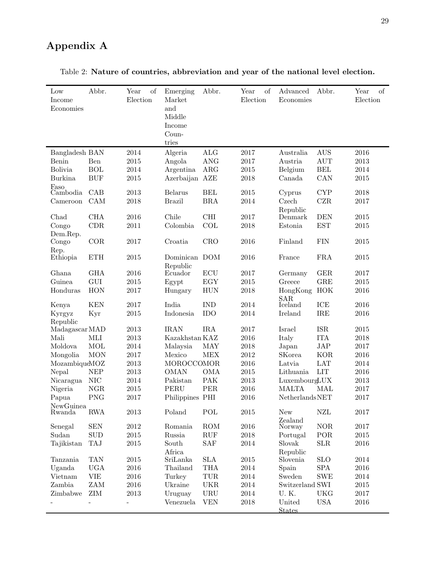# Appendix A

| Low<br>Income<br>Economies | Abbr.                       | of<br>Year<br>Election | Emerging<br>Market<br>and<br>Middle<br>Income<br>Coun-<br>tries | Abbr.                | of<br>Year<br>Election | Advanced<br>Economies | Abbr.                       | $\sigma$<br>Year<br>Election |
|----------------------------|-----------------------------|------------------------|-----------------------------------------------------------------|----------------------|------------------------|-----------------------|-----------------------------|------------------------------|
| Bangladesh BAN             |                             | 2014                   | Algeria                                                         | <b>ALG</b>           | 2017                   | Australia             | <b>AUS</b>                  | 2016                         |
| Benin                      | Ben                         | 2015                   | Angola                                                          | <b>ANG</b>           | 2017                   | Austria               | <b>AUT</b>                  | 2013                         |
| <b>Bolivia</b>             | <b>BOL</b>                  | 2014                   | Argentina                                                       | ARG                  | 2015                   | Belgium               | $\operatorname{BEL}$        | 2014                         |
| <b>Burkina</b>             | <b>BUF</b>                  | 2015                   | Azerbaijan AZE                                                  |                      | 2018                   | Canada                | CAN                         | 2015                         |
| Faso<br>Cambodia           | CAB                         | 2013                   | <b>Belarus</b>                                                  | <b>BEL</b>           | $\,2015$               | Cyprus                | <b>CYP</b>                  | 2018                         |
| Cameroon                   | CAM                         | 2018                   | <b>Brazil</b>                                                   | <b>BRA</b>           | 2014                   | Czech                 | CZR                         | 2017                         |
|                            |                             |                        |                                                                 |                      |                        | Republic              |                             |                              |
| Chad                       | CHA                         | 2016                   | Chile                                                           | CHI                  | 2017                   | Denmark               | <b>DEN</b>                  | 2015                         |
| Congo                      | CDR                         | 2011                   | Colombia                                                        | COL                  | 2018                   | Estonia               | <b>EST</b>                  | 2015                         |
| Dem.Rep.                   |                             |                        |                                                                 |                      |                        |                       |                             |                              |
| Congo                      | COR                         | 2017                   | Croatia                                                         | <b>CRO</b>           | 2016                   | Finland               | <b>FIN</b>                  | 2015                         |
| Rep.<br>Ethiopia           | <b>ETH</b>                  | 2015                   | Dominican DOM<br>Republic                                       |                      | 2016                   | France                | <b>FRA</b>                  | 2015                         |
| Ghana                      | <b>GHA</b>                  | 2016                   | Ecuador                                                         | ECU                  | 2017                   | Germany               | GER                         | 2017                         |
| Guinea                     | ${\rm GUI}$                 | 2015                   | Egypt                                                           | EGY                  | 2015                   | Greece                | ${\rm GRE}$                 | 2015                         |
| Honduras                   | HON                         | 2017                   | Hungary                                                         | <b>HUN</b>           | 2018                   | HongKong              | HOK                         | 2016                         |
|                            |                             |                        |                                                                 |                      |                        | <b>SAR</b>            |                             |                              |
| Kenya                      | <b>KEN</b>                  | 2017                   | India                                                           | <b>IND</b>           | 2014                   | Iceland               | ICE                         | 2016                         |
| Kyrgyz<br>Republic         | Kyr                         | 2015                   | Indonesia                                                       | IDO                  | 2014                   | Ireland               | IRE                         | 2016                         |
| Madagascar MAD             |                             | 2013                   | <b>IRAN</b>                                                     | <b>IRA</b>           | 2017                   | Israel                | <b>ISR</b>                  | $\,2015$                     |
| Mali                       | MLI                         | 2013                   | Kazakhstan KAZ                                                  |                      | 2016                   | Italy                 | <b>ITA</b>                  | 2018                         |
| Moldova                    | <b>MOL</b>                  | 2014                   | Malaysia                                                        | <b>MAY</b>           | 2018                   | Japan                 | $\ensuremath{\mathrm{JAP}}$ | 2017                         |
| Mongolia                   | <b>MON</b>                  | 2017                   | Mexico                                                          | <b>MEX</b>           | 2012                   | <b>SKorea</b>         | <b>KOR</b>                  | 2016                         |
| MozambiqueMOZ              |                             | 2013                   | MOROCCOMOR                                                      |                      | 2016                   | Latvia                | <b>LAT</b>                  | 2014                         |
| Nepal                      | $\ensuremath{\mathsf{NEP}}$ | 2013                   | <b>OMAN</b>                                                     | <b>OMA</b>           | 2015                   | Lithuania             | <b>LIT</b>                  | 2016                         |
| Nicaragua                  | <b>NIC</b>                  | 2014                   | Pakistan                                                        | <b>PAK</b>           | 2013                   | LuxembourgLUX         |                             | $\,2013$                     |
| Nigeria                    | <b>NGR</b>                  | 2015                   | <b>PERU</b>                                                     | <b>PER</b>           | 2016                   | <b>MALTA</b>          | MAL                         | 2017                         |
| Papua                      | <b>PNG</b>                  | 2017                   | Philippines PHI                                                 |                      | 2016                   | <b>NetherlandsNET</b> |                             | 2017                         |
| NewGuinea<br>Rwanda        | <b>RWA</b>                  | 2013                   | Poland                                                          | POL                  | 2015                   | New                   | ${\rm NZL}$                 | 2017                         |
|                            |                             |                        |                                                                 |                      |                        | Zealand               |                             |                              |
| Senegal                    | <b>SEN</b>                  | $\>2012$               | Romania                                                         | ROM                  | $\,2016$               | Norway                | <b>NOR</b>                  | 2017                         |
| Sudan                      | $\operatorname{SUD}$        | $\,2015$               | Russia                                                          | RUF                  | $\,2018$               | Portugal              | POR                         | $\,2015$                     |
| Tajikistan                 | <b>TAJ</b>                  | $\,2015$               | South                                                           | SAF                  | 2014                   | Slovak                | ${\rm SLR}$                 | 2016                         |
| Tanzania                   | <b>TAN</b>                  | 2015                   | Africa<br>SriLanka                                              | $\operatorname{SLA}$ | 2015                   | Republic<br>Slovenia  | <b>SLO</b>                  | 2014                         |
| Uganda                     | <b>UGA</b>                  | 2016                   | Thailand                                                        | <b>THA</b>           | 2014                   | Spain                 | <b>SPA</b>                  | 2016                         |
| Vietnam                    | <b>VIE</b>                  | 2016                   | Turkey                                                          | TUR                  | 2014                   | Sweden                | <b>SWE</b>                  | 2014                         |
| Zambia                     | ZAM                         | 2016                   | Ukraine                                                         | <b>UKR</b>           | 2014                   | Switzerland SWI       |                             | 2015                         |
| Zimbabwe                   | ZIM                         | 2013                   | Uruguay                                                         | <b>URU</b>           | 2014                   | U.K.                  | <b>UKG</b>                  | 2017                         |
|                            |                             |                        | Venezuela                                                       | <b>VEN</b>           | 2018                   | United                | <b>USA</b>                  | 2016                         |
|                            |                             |                        |                                                                 |                      |                        | <b>States</b>         |                             |                              |

Table 2: Nature of countries, abbreviation and year of the national level election.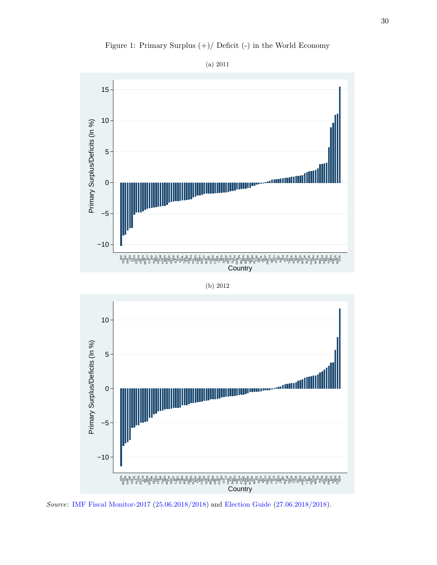<span id="page-31-0"></span>



# (b) 2012



Source: [IMF Fiscal Monitor-2017](#page-28-0) [\(25.06.2018/2018\)](#page-28-0) and [Election Guide](#page-28-1) [\(27.06.2018/2018](#page-28-1)).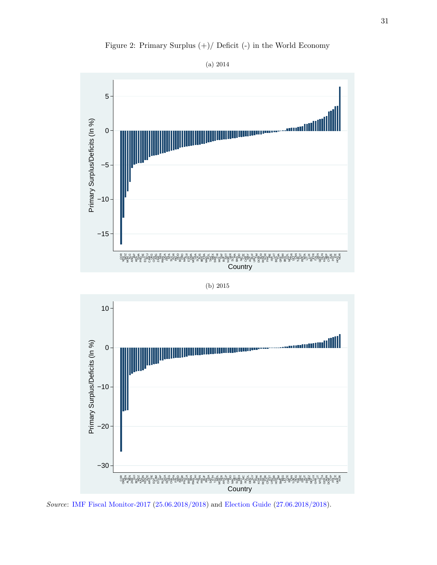

Figure 2: Primary Surplus (+)/ Deficit (-) in the World Economy

31



ANG SLP CAB IDO MAL NET SUD MEX MAY NIC POL COL DEN SLV

**Country** 

BEL PAK KOR ‱<br>∑≥ ROM ã CH<br>C  $\overline{\mathrm{sc}}$ 药 E<br>82 a<br>E ∑<br>⊼ SWE e<br>⊞≂ 5Ë u<br>Cle IRE Z<br>Gr E g<br>£≨ 5≹<br>T ee<br>Gr ISR a<br>Ja SWI NEZ n<br>P i<br>⊇s f<br>5 ۹. MTA  $\tilde{H}_{\infty}$ EE<br>G ≦<br>Is z<sup>o</sup>r<sup>u</sup>şê

−30

ES FOR ES<br>CENTRE ES ES KAZ Z<br>Sc KEN y<br>Zc ARG y<br>∑≻ EGY క్లై<br>దినె ECT<br>E ۹. ar<br>Br g<br>Sa SEN<br>SEN u<br>≚≤ f. s<br>Sez FÈ g<br>Ss 9ä g<br>Şg po<br>E S. BRA g<br>Ba RWA 동 AUS Z<br>Fa a⊠<br>F ŧ. ≩≐ี S<br>Sy SAF E, TAJ g.<br>Se MOR ee<br>ee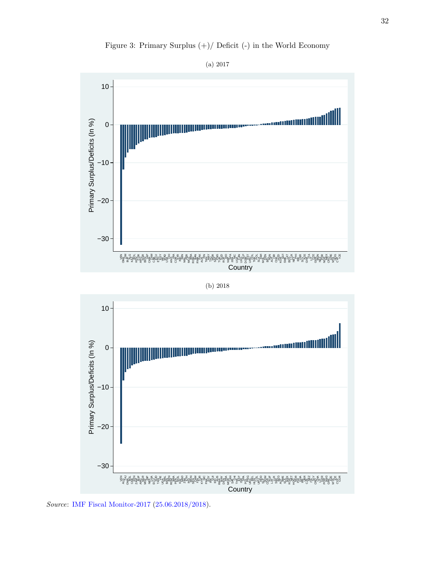

<span id="page-33-0"></span>

Source: [IMF Fiscal Monitor-2017](#page-28-0) [\(25.06.2018/2018\)](#page-28-0).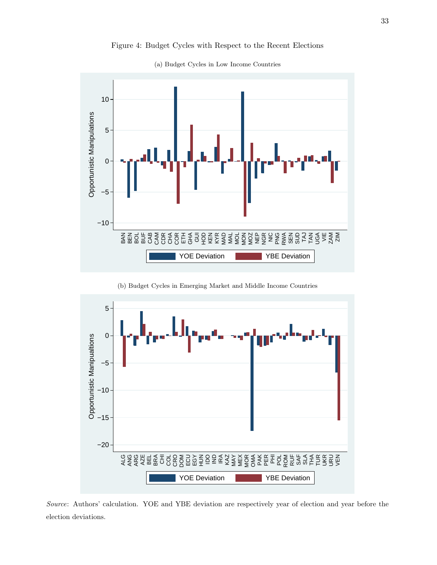<span id="page-34-1"></span><span id="page-34-0"></span>

Figure 4: Budget Cycles with Respect to the Recent Elections

(a) Budget Cycles in Low Income Countries

(b) Budget Cycles in Emerging Market and Middle Income Countries

<span id="page-34-2"></span>

Source: Authors' calculation. YOE and YBE deviation are respectively year of election and year before the election deviations.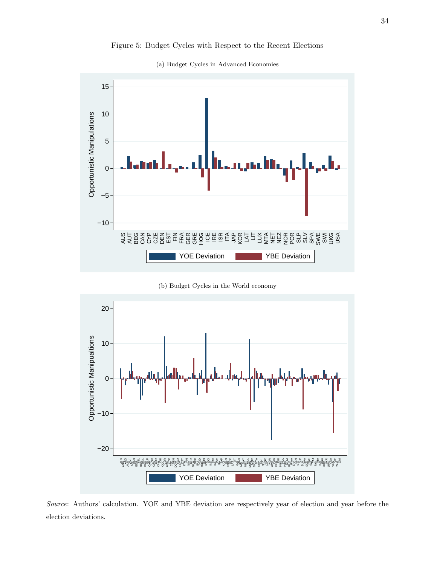<span id="page-35-0"></span>

<span id="page-35-1"></span>

(a) Budget Cycles in Advanced Economies

(b) Budget Cycles in the World economy

<span id="page-35-2"></span>

Source: Authors' calculation. YOE and YBE deviation are respectively year of election and year before the election deviations.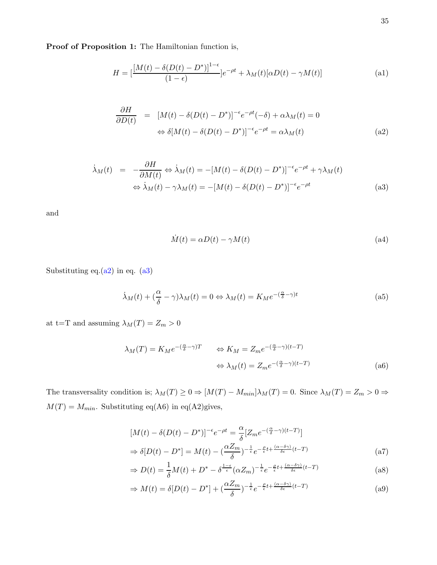Proof of Proposition 1: The Hamiltonian function is,

$$
H = \left[\frac{[M(t) - \delta(D(t) - D^*)]^{1-\epsilon}}{(1-\epsilon)}\right]e^{-\rho t} + \lambda_M(t)[\alpha D(t) - \gamma M(t)]
$$
\n(a1)

<span id="page-36-3"></span>
$$
\frac{\partial H}{\partial D(t)} = [M(t) - \delta(D(t) - D^*)]^{-\epsilon} e^{-\rho t} (-\delta) + \alpha \lambda_M(t) = 0
$$
  

$$
\Leftrightarrow \delta[M(t) - \delta(D(t) - D^*)]^{-\epsilon} e^{-\rho t} = \alpha \lambda_M(t)
$$
 (a2)

<span id="page-36-4"></span>
$$
\dot{\lambda}_M(t) = -\frac{\partial H}{\partial M(t)} \Leftrightarrow \dot{\lambda}_M(t) = -[M(t) - \delta(D(t) - D^*)]^{-\epsilon} e^{-\rho t} + \gamma \lambda_M(t)
$$
  

$$
\Leftrightarrow \dot{\lambda}_M(t) - \gamma \lambda_M(t) = -[M(t) - \delta(D(t) - D^*)]^{-\epsilon} e^{-\rho t}
$$
(a3)

and

<span id="page-36-5"></span>
$$
\dot{M}(t) = \alpha D(t) - \gamma M(t) \tag{a4}
$$

Substituting eq. $(a2)$  in eq.  $(a3)$ 

<span id="page-36-2"></span>
$$
\dot{\lambda}_M(t) + (\frac{\alpha}{\delta} - \gamma)\lambda_M(t) = 0 \Leftrightarrow \lambda_M(t) = K_M e^{-(\frac{\alpha}{\delta} - \gamma)t}
$$
\n<sup>(a5)</sup>

at t=T and assuming  $\lambda_M(T) = Z_m > 0$ 

<span id="page-36-0"></span>
$$
\lambda_M(T) = K_M e^{-(\frac{\alpha}{\delta} - \gamma)T} \qquad \Leftrightarrow K_M = Z_m e^{-(\frac{\alpha}{\delta} - \gamma)(t - T)}
$$

$$
\Leftrightarrow \lambda_M(t) = Z_m e^{-(\frac{\alpha}{\delta} - \gamma)(t - T)}
$$
(a6)

The transversality condition is;  $\lambda_M(T) \ge 0 \Rightarrow [M(T) - M_{min}] \lambda_M(T) = 0$ . Since  $\lambda_M(T) = Z_m > 0 \Rightarrow$  $M(T) = M_{min}$ . Substituting eq(A6) in eq(A2)gives,

<span id="page-36-1"></span>
$$
[M(t) - \delta(D(t) - D^*)]^{-\epsilon} e^{-\rho t} = \frac{\alpha}{\delta} [Z_m e^{-(\frac{\alpha}{\delta} - \gamma)(t - T)}]
$$
  
\n
$$
\Rightarrow \delta[D(t) - D^*] = M(t) - (\frac{\alpha Z_m}{\delta})^{-\frac{1}{\epsilon}} e^{-\frac{\rho}{\epsilon}t + \frac{(\alpha - \delta \gamma)}{\delta \epsilon}(t - T)}
$$
\n(a7)

$$
\Rightarrow D(t) = \frac{1}{\delta}M(t) + D^* - \delta^{\frac{1-\epsilon}{\epsilon}}(\alpha Z_m)^{-\frac{1}{\epsilon}}e^{-\frac{\rho}{\epsilon}t + \frac{(\alpha-\delta\gamma)}{\delta\epsilon}(t-T)}
$$
(a8)

$$
\Rightarrow M(t) = \delta[D(t) - D^*] + (\frac{\alpha Z_m}{\delta})^{-\frac{1}{\epsilon}} e^{-\frac{\rho}{\epsilon}t + \frac{(\alpha - \delta \gamma)}{\delta \epsilon}(t - T)}
$$
(a9)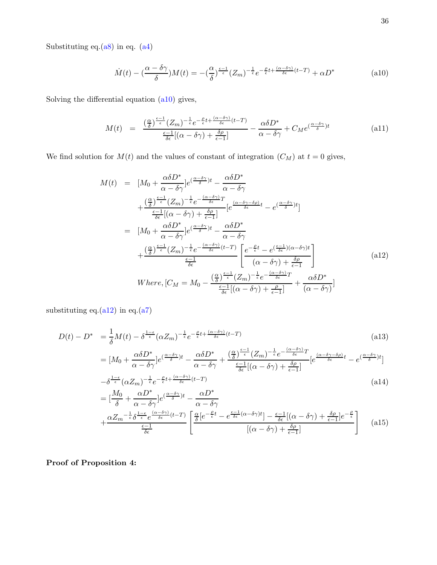Substituting eq. $(a8)$  in eq.  $(a4)$ 

<span id="page-37-1"></span>
$$
\dot{M}(t) - \left(\frac{\alpha - \delta\gamma}{\delta}\right)M(t) = -\left(\frac{\alpha}{\delta}\right)^{\frac{\epsilon - 1}{\epsilon}}(Z_m)^{-\frac{1}{\epsilon}}e^{-\frac{\rho}{\epsilon}t + \frac{(\alpha - \delta\gamma)}{\delta\epsilon}(t - T)} + \alpha D^*
$$
\n(a10)

Solving the differential equation [\(a10\)](#page-37-1) gives,

$$
M(t) = \frac{\left(\frac{\alpha}{\delta}\right)^{\frac{\epsilon-1}{\epsilon}} (Z_m)^{-\frac{1}{\epsilon}} e^{-\frac{\rho}{\epsilon}t + \frac{(\alpha-\delta\gamma)}{\delta\epsilon}(t-T)}}{\frac{\epsilon-1}{\delta\epsilon}[(\alpha-\delta\gamma)+\frac{\delta\rho}{\epsilon-1}]} - \frac{\alpha\delta D^*}{\alpha-\delta\gamma} + C_M e^{(\frac{\alpha-\delta\gamma}{\delta})t}
$$
(a11)

We find solution for  $M(t)$  and the values of constant of integration  $(C_M)$  at  $t = 0$  gives,

<span id="page-37-2"></span>
$$
M(t) = [M_0 + \frac{\alpha \delta D^*}{\alpha - \delta \gamma}]e^{(\frac{\alpha - \delta \gamma}{\delta})t} - \frac{\alpha \delta D^*}{\alpha - \delta \gamma} + \frac{(\frac{\alpha}{\delta})^{\frac{\epsilon - 1}{\epsilon}}(Z_m)^{-\frac{1}{\epsilon}}e^{-\frac{(\alpha - \delta \gamma)}{\delta \epsilon}}[e^{\frac{(\alpha - \delta \gamma - \delta \rho)}{\delta \epsilon}}t - e^{(\frac{\alpha - \delta \gamma}{\delta})t}] = [M_0 + \frac{\alpha \delta D^*}{\alpha - \delta \gamma}]e^{(\frac{\alpha - \delta \gamma}{\delta})t} - \frac{\alpha \delta D^*}{\alpha - \delta \gamma} + \frac{(\frac{\alpha}{\delta})^{\frac{\epsilon - 1}{\epsilon}}(Z_m)^{-\frac{1}{\epsilon}}e^{-\frac{(\alpha - \delta \gamma)}{\delta \epsilon}(t - T)}}{\frac{\epsilon - 1}{\delta \epsilon}} \left[ \frac{e^{-\frac{\epsilon}{\epsilon}t} - e^{(\frac{\epsilon - 1}{\delta \epsilon})(\alpha - \delta \gamma)t}}{(\alpha - \delta \gamma) + \frac{\delta \rho}{\epsilon - 1}} \right] Where, [C_M = M_0 - \frac{(\frac{\alpha}{\delta})^{\frac{\epsilon - 1}{\epsilon}}(Z_m)^{-\frac{1}{\epsilon}}e^{-\frac{(\alpha - \delta \gamma)}{\delta \epsilon}T}}{\frac{\epsilon - 1}{\delta \epsilon}[(\alpha - \delta \gamma) + \frac{\rho}{\epsilon - 1}]} + \frac{\alpha \delta D^*}{(\alpha - \delta \gamma)} \tag{a12}
$$

substituting eq. $(a12)$  in eq. $(a7)$ 

<span id="page-37-0"></span>
$$
D(t) - D^* = \frac{1}{\delta}M(t) - \delta^{\frac{1-\epsilon}{\epsilon}}(\alpha Z_m)^{-\frac{1}{\epsilon}}e^{-\frac{\rho}{\epsilon}t + \frac{(\alpha-\delta\gamma)}{\delta\epsilon}(t-T)}
$$
(a13)  

$$
= [M_0 + \frac{\alpha\delta D^*}{\alpha - \delta\gamma}]e^{(\frac{\alpha-\delta\gamma}{\delta})t} - \frac{\alpha\delta D^*}{\alpha - \delta\gamma} + \frac{(\frac{\alpha}{\delta})^{\frac{\epsilon-1}{\epsilon}}(Z_m)^{-\frac{1}{\epsilon}}e^{-\frac{(\alpha-\delta\gamma)}{\delta\epsilon}T}}{\frac{\epsilon-1}{\delta\epsilon}[(\alpha-\delta\gamma) + \frac{\delta\rho}{\epsilon-1}]}[e^{\frac{(\alpha-\delta\gamma-\delta\rho)}{\delta\epsilon}t} - e^{(\frac{\alpha-\delta\gamma}{\delta})t}]
$$

$$
-\delta^{\frac{1-\epsilon}{\epsilon}}(\alpha Z_m)^{-\frac{1}{\epsilon}}e^{-\frac{\rho}{\epsilon}t + \frac{(\alpha-\delta\gamma)}{\delta\epsilon}(t-T)}
$$
(a14)

$$
= \left[\frac{M_0}{\delta} + \frac{\alpha D^*}{\alpha - \delta \gamma}\right] e^{\left(\frac{\alpha - \delta \gamma}{\delta}\right)t} - \frac{\alpha D^*}{\alpha - \delta \gamma}
$$
  
+ 
$$
\frac{\alpha Z_m^{-\frac{1}{\epsilon}} \delta^{\frac{1-\epsilon}{\epsilon}} e^{\frac{(\alpha - \delta \gamma)}{\delta \epsilon}(t-T)} \left[\frac{\alpha}{\delta} \left[e^{-\frac{\rho}{\epsilon}t} - e^{\frac{\epsilon - 1}{\delta \epsilon}(\alpha - \delta \gamma)t}\right] - \frac{\epsilon - 1}{\delta \epsilon} \left[(\alpha - \delta \gamma) + \frac{\delta \rho}{\epsilon - 1}\right] e^{-\frac{\rho}{\epsilon}}}{\left[(\alpha - \delta \gamma) + \frac{\delta \rho}{\epsilon - 1}\right]} \right] (a15)
$$

Proof of Proposition 4: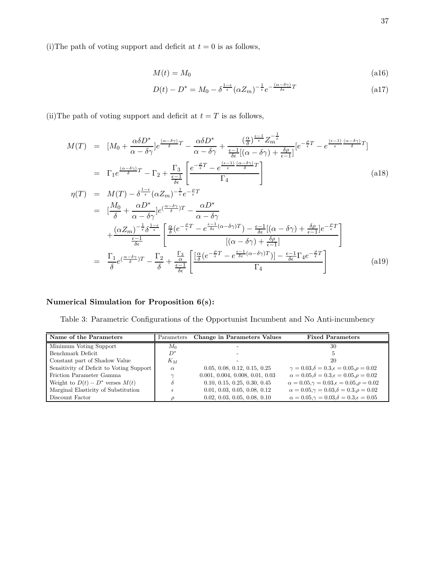(i)The path of voting support and deficit at  $t = 0$  is as follows,

$$
M(t) = M_0 \tag{a16}
$$

$$
D(t) - D^* = M_0 - \delta^{\frac{1-\epsilon}{\epsilon}} (\alpha Z_m)^{-\frac{1}{\epsilon}} e^{-\frac{(\alpha-\delta\gamma)}{\delta\epsilon}T}
$$
(a17)

(ii)The path of voting support and deficit at  $t = T$  is as follows,

$$
M(T) = [M_0 + \frac{\alpha \delta D^*}{\alpha - \delta \gamma}] e^{\frac{(\alpha - \delta \gamma)}{\delta} T} - \frac{\alpha \delta D^*}{\alpha - \delta \gamma} + \frac{(\frac{\alpha}{\delta})^{\frac{\epsilon - 1}{\epsilon}} Z_m^{-\frac{1}{\epsilon}}}{\frac{\delta \epsilon}{\delta \epsilon} [(\alpha - \delta \gamma) + \frac{\delta \rho}{\epsilon - 1}]} [e^{-\frac{\rho}{\epsilon} T} - e^{\frac{(\epsilon - 1)}{\epsilon} \frac{(\alpha - \delta \gamma)}{\delta} T}]
$$
\n
$$
= \Gamma_1 e^{\frac{(\alpha - \delta \gamma)}{\delta} T} - \Gamma_2 + \frac{\Gamma_3}{\frac{\epsilon - 1}{\delta \epsilon}} \left[ \frac{e^{-\frac{\rho}{\epsilon} T} - e^{\frac{(\epsilon - 1)}{\epsilon} \frac{(\alpha - \delta \gamma)}{\delta} T}}{\Gamma_4} \right]
$$
\n
$$
\eta(T) = M(T) - \delta^{\frac{1 - \epsilon}{\epsilon}} (\alpha Z_m)^{-\frac{1}{\epsilon}} e^{-\frac{\rho}{\epsilon} T}
$$
\n
$$
= [\frac{M_0}{\delta} + \frac{\alpha D^*}{\alpha - \delta \gamma}] e^{(\frac{\alpha - \delta \gamma}{\delta}) T} - \frac{\alpha D^*}{\alpha - \delta \gamma}
$$
\n
$$
+ \frac{(\alpha Z_m)^{-\frac{1}{\epsilon}} \delta^{\frac{1 - \epsilon}{\epsilon}}}{\frac{\epsilon - 1}{\delta \epsilon}} \left[ \frac{\frac{\alpha}{\delta} (e^{-\frac{\rho}{\epsilon} T} - e^{\frac{\epsilon - 1}{\delta \epsilon} (\alpha - \delta \gamma) T}) - \frac{\epsilon - 1}{\delta \epsilon} [(\alpha - \delta \gamma) + \frac{\delta \rho}{\epsilon - 1}] e^{-\frac{\rho}{\epsilon} T}}{[(\alpha - \delta \gamma) + \frac{\delta \rho}{\epsilon - 1}]} \right]
$$
\n
$$
= \frac{\Gamma_1}{\delta} e^{(\frac{\alpha - \delta \gamma}{\delta}) T} - \frac{\Gamma_2}{\delta} + \frac{\frac{\Gamma_3}{\delta \epsilon}}{\frac{\epsilon - 1}{\delta \epsilon}} \left[ \frac{\frac{\alpha}{\delta} (e^{-\frac{\rho}{\epsilon} T} - e^{\frac{\epsilon - 1}{\delta \epsilon} (\alpha - \delta \gamma) T})] - \frac{\epsilon - 1}{\delta \epsilon} \Gamma_4 e^{-\frac
$$

# <span id="page-38-0"></span>Numerical Simulation for Proposition 6(s):

Table 3: Parametric Configurations of the Opportunist Incumbent and No Anti-incumbency

| Name of the Parameters                   | Parameters | <b>Change in Parameters Values</b> | <b>Fixed Parameters</b>                                       |  |
|------------------------------------------|------------|------------------------------------|---------------------------------------------------------------|--|
| Minimum Voting Support                   | $M_0$      |                                    | 30                                                            |  |
| Benchmark Deficit                        | $D^*$      |                                    |                                                               |  |
| Constant part of Shadow Value            | $K_M$      |                                    | 20                                                            |  |
| Sensitivity of Deficit to Voting Support | $\alpha$   | 0.05, 0.08, 0.12, 0.15, 0.25       | $\gamma = 0.03, \delta = 0.3, \epsilon = 0.05, \rho = 0.02$   |  |
| Friction Parameter Gamma                 |            | 0.001, 0.004, 0.008, 0.01, 0.03    | $\alpha = 0.05, \delta = 0.3, \epsilon = 0.05, \rho = 0.02$   |  |
| Weight to $D(t) - D^*$ verses $M(t)$     |            | 0.10, 0.15, 0.25, 0.30, 0.45       | $\alpha = 0.05, \gamma = 0.03, \epsilon = 0.05, \rho = 0.02$  |  |
| Marginal Elasticity of Substitution      |            | 0.01, 0.03, 0.05, 0.08, 0.12       | $\alpha = 0.05, \gamma = 0.03, \delta = 0.3, \rho = 0.02$     |  |
| Discount Factor                          |            | 0.02, 0.03, 0.05, 0.08, 0.10       | $\alpha = 0.05, \gamma = 0.03, \delta = 0.3, \epsilon = 0.05$ |  |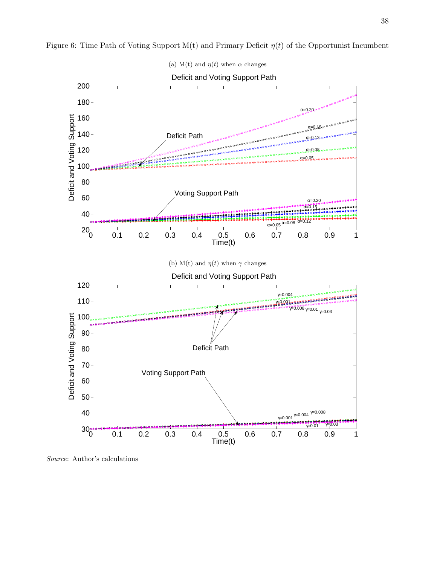<span id="page-39-2"></span>

<span id="page-39-1"></span><span id="page-39-0"></span>Figure 6: Time Path of Voting Support M(t) and Primary Deficit  $\eta(t)$  of the Opportunist Incumbent

Source: Author's calculations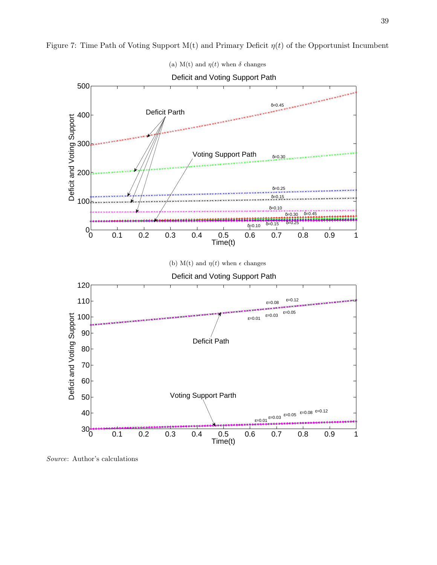<span id="page-40-2"></span>

<span id="page-40-1"></span><span id="page-40-0"></span>Figure 7: Time Path of Voting Support  $M(t)$  and Primary Deficit  $\eta(t)$  of the Opportunist Incumbent

Source: Author's calculations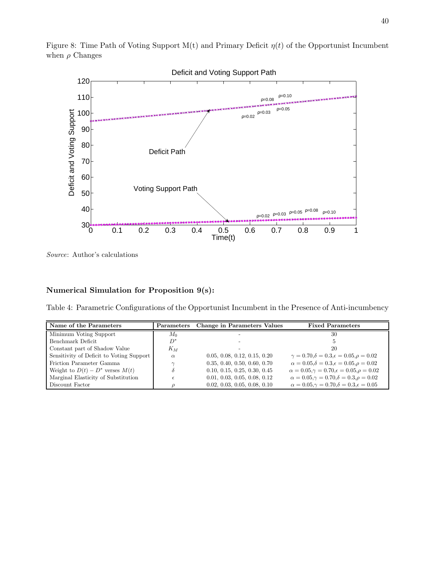

<span id="page-41-0"></span>Figure 8: Time Path of Voting Support  $M(t)$  and Primary Deficit  $\eta(t)$  of the Opportunist Incumbent when  $\rho$  Changes

Source: Author's calculations

## <span id="page-41-1"></span>Numerical Simulation for Proposition 9(s):

Table 4: Parametric Configurations of the Opportunist Incumbent in the Presence of Anti-incumbency

| Name of the Parameters                   | Parameters | <b>Change in Parameters Values</b> | <b>Fixed Parameters</b>                                              |  |
|------------------------------------------|------------|------------------------------------|----------------------------------------------------------------------|--|
| Minimum Voting Support                   | $M_0$      |                                    | 30                                                                   |  |
| Benchmark Deficit                        | $D^*$      |                                    |                                                                      |  |
| Constant part of Shadow Value            | $K_M$      |                                    | 20                                                                   |  |
| Sensitivity of Deficit to Voting Support | $\alpha$   | 0.05, 0.08, 0.12, 0.15, 0.20       | $\gamma = 0.70$ , $\delta = 0.3$ , $\epsilon = 0.05$ , $\rho = 0.02$ |  |
| Friction Parameter Gamma                 |            | 0.35, 0.40, 0.50, 0.60, 0.70       | $\alpha = 0.05, \delta = 0.3, \epsilon = 0.05, \rho = 0.02$          |  |
| Weight to $D(t) - D^*$ verses $M(t)$     |            | 0.10, 0.15, 0.25, 0.30, 0.45       | $\alpha = 0.05, \gamma = 0.70, \epsilon = 0.05, \rho = 0.02$         |  |
| Marginal Elasticity of Substitution      |            | 0.01, 0.03, 0.05, 0.08, 0.12       | $\alpha = 0.05, \gamma = 0.70, \delta = 0.3, \rho = 0.02$            |  |
| Discount Factor                          |            | 0.02, 0.03, 0.05, 0.08, 0.10       | $\alpha = 0.05, \gamma = 0.70, \delta = 0.3, \epsilon = 0.05$        |  |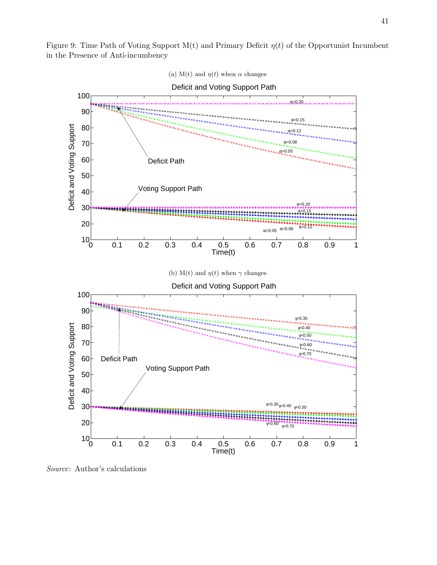<span id="page-42-1"></span><span id="page-42-0"></span>Figure 9: Time Path of Voting Support M(t) and Primary Deficit  $\eta(t)$  of the Opportunist Incumbent in the Presence of Anti-incumbency

<span id="page-42-2"></span>

(a) M(t) and  $\eta(t)$  when  $\alpha$  changes

Source: Author's calculations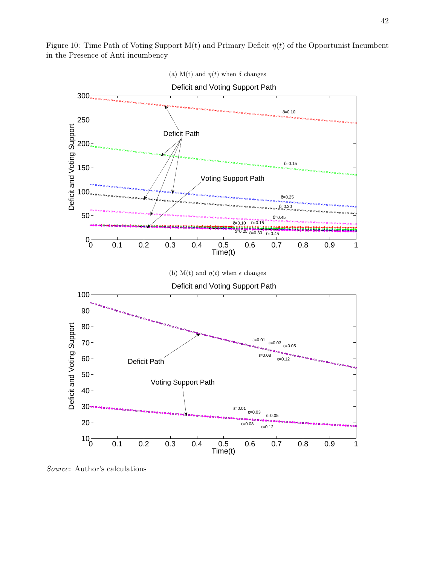<span id="page-43-1"></span><span id="page-43-0"></span>Figure 10: Time Path of Voting Support M(t) and Primary Deficit  $\eta(t)$  of the Opportunist Incumbent in the Presence of Anti-incumbency

<span id="page-43-2"></span>

Source: Author's calculations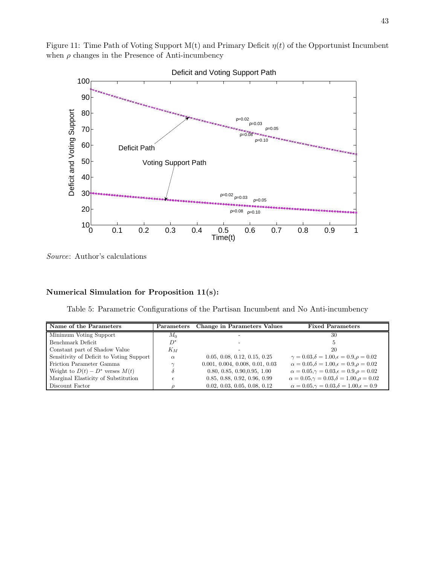<span id="page-44-0"></span>Figure 11: Time Path of Voting Support  $M(t)$  and Primary Deficit  $\eta(t)$  of the Opportunist Incumbent when  $\rho$  changes in the Presence of Anti-incumbency



Source: Author's calculations

## <span id="page-44-1"></span>Numerical Simulation for Proposition 11(s):

Table 5: Parametric Configurations of the Partisan Incumbent and No Anti-incumbency

| Name of the Parameters                   | Parameters | <b>Change in Parameters Values</b> | <b>Fixed Parameters</b>                                       |  |
|------------------------------------------|------------|------------------------------------|---------------------------------------------------------------|--|
| Minimum Voting Support                   | $M_{0}$    |                                    | 30                                                            |  |
| Benchmark Deficit                        | $D^*$      |                                    |                                                               |  |
| Constant part of Shadow Value            | $K_M$      |                                    | 20                                                            |  |
| Sensitivity of Deficit to Voting Support | $\alpha$   | 0.05, 0.08, 0.12, 0.15, 0.25       | $\gamma = 0.03, \delta = 1.00, \epsilon = 0.9, \rho = 0.02$   |  |
| Friction Parameter Gamma                 | $\sim$     | 0.001, 0.004, 0.008, 0.01, 0.03    | $\alpha = 0.05, \delta = 1.00, \epsilon = 0.9, \rho = 0.02$   |  |
| Weight to $D(t) - D^*$ verses $M(t)$     |            | 0.80, 0.85, 0.90, 0.95, 1.00       | $\alpha = 0.05, \gamma = 0.03, \epsilon = 0.9, \rho = 0.02$   |  |
| Marginal Elasticity of Substitution      |            | 0.85, 0.88, 0.92, 0.96, 0.99       | $\alpha = 0.05, \gamma = 0.03, \delta = 1.00, \rho = 0.02$    |  |
| Discount Factor                          |            | 0.02, 0.03, 0.05, 0.08, 0.12       | $\alpha = 0.05, \gamma = 0.03, \delta = 1.00, \epsilon = 0.9$ |  |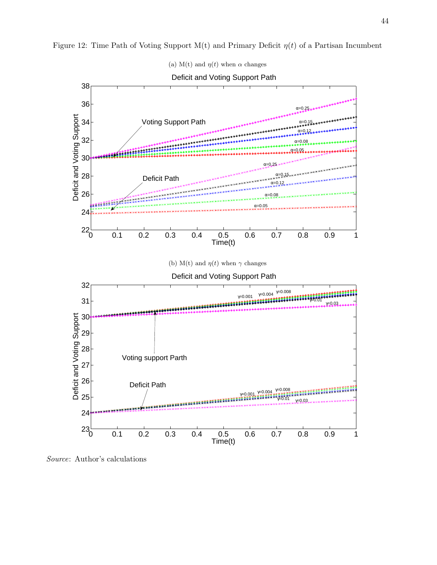44

<span id="page-45-1"></span><span id="page-45-0"></span>

<span id="page-45-2"></span>

Source: Author's calculations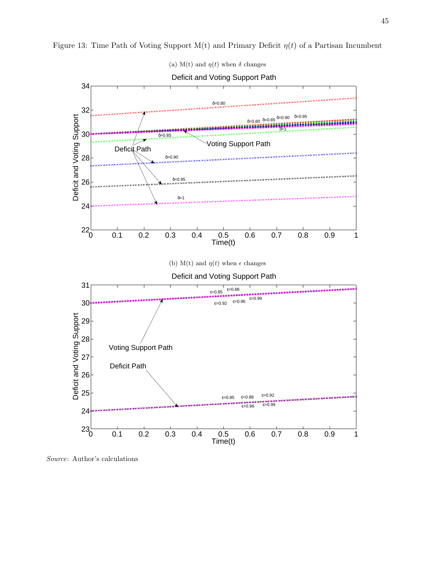<span id="page-46-2"></span>

<span id="page-46-1"></span><span id="page-46-0"></span>Figure 13: Time Path of Voting Support M(t) and Primary Deficit  $\eta(t)$  of a Partisan Incumbent

Source: Author's calculations